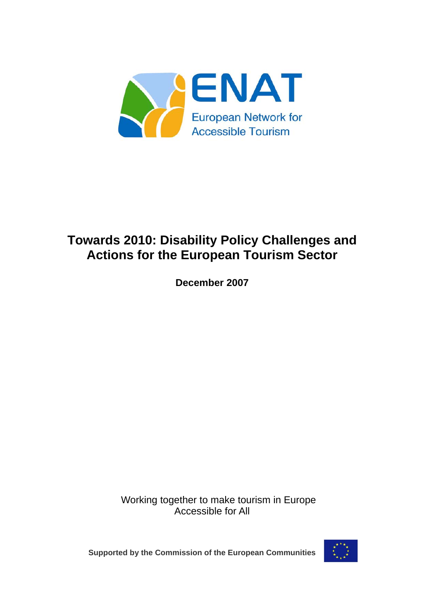

# **Towards 2010: Disability Policy Challenges and Actions for the European Tourism Sector**

**December 2007** 

Working together to make tourism in Europe Accessible for All

**Supported by the Commission of the European Communities** 

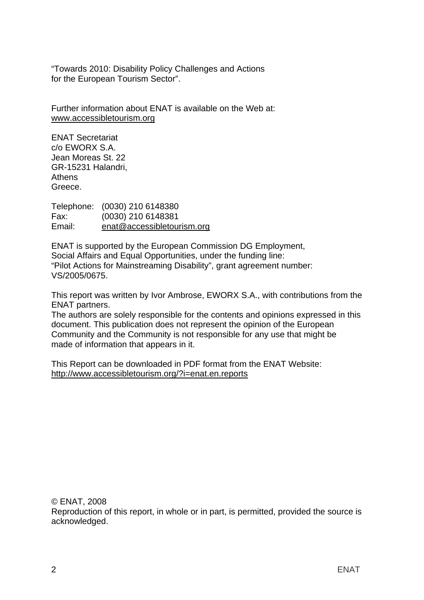"Towards 2010: Disability Policy Challenges and Actions for the European Tourism Sector".

Further information about ENAT is available on the Web at: www.accessibletourism.org

ENAT Secretariat c/o EWORX S.A. Jean Moreas St. 22 GR-15231 Halandri, Athens Greece.

Telephone: (0030) 210 6148380 Fax: (0030) 210 6148381 Email: enat@accessibletourism.org

ENAT is supported by the European Commission DG Employment, Social Affairs and Equal Opportunities, under the funding line: "Pilot Actions for Mainstreaming Disability", grant agreement number: VS/2005/0675.

This report was written by Ivor Ambrose, EWORX S.A., with contributions from the ENAT partners.

The authors are solely responsible for the contents and opinions expressed in this document. This publication does not represent the opinion of the European Community and the Community is not responsible for any use that might be made of information that appears in it.

This Report can be downloaded in PDF format from the ENAT Website: http://www.accessibletourism.org/?i=enat.en.reports

© ENAT, 2008

Reproduction of this report, in whole or in part, is permitted, provided the source is acknowledged.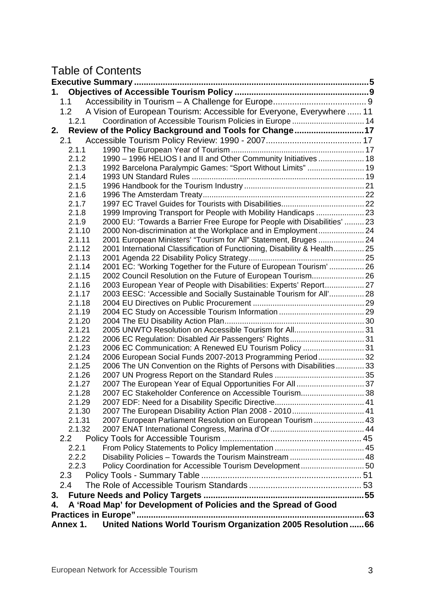# Table of Contents

| 1.                                                                    |                                                                           |    |  |
|-----------------------------------------------------------------------|---------------------------------------------------------------------------|----|--|
| 1.1                                                                   |                                                                           |    |  |
| 1.2 <sub>1</sub>                                                      | A Vision of European Tourism: Accessible for Everyone, Everywhere  11     |    |  |
| 1.2.1                                                                 | Coordination of Accessible Tourism Policies in Europe  14                 |    |  |
| 2.                                                                    | Review of the Policy Background and Tools for Change17                    |    |  |
| 2.1                                                                   |                                                                           |    |  |
| 2.1.1                                                                 |                                                                           |    |  |
| 2.1.2                                                                 | 1990 - 1996 HELIOS I and II and Other Community Initiatives  18           |    |  |
| 2.1.3                                                                 | 1992 Barcelona Paralympic Games: "Sport Without Limits"  19               |    |  |
| 2.1.4                                                                 |                                                                           |    |  |
| 2.1.5                                                                 |                                                                           |    |  |
| 2.1.6                                                                 |                                                                           |    |  |
| 2.1.7                                                                 |                                                                           |    |  |
| 2.1.8                                                                 | 1999 Improving Transport for People with Mobility Handicaps  23           |    |  |
| 2.1.9                                                                 | 2000 EU: 'Towards a Barrier Free Europe for People with Disabilities'  23 |    |  |
| 2.1.10                                                                | 2000 Non-discrimination at the Workplace and in Employment24              |    |  |
| 2.1.11                                                                | 2001 European Ministers' "Tourism for All" Statement, Bruges  24          |    |  |
| 2.1.12                                                                | 2001 International Classification of Functioning, Disability & Health 25  |    |  |
| 2.1.13<br>2.1.14                                                      | 2001 EC: 'Working Together for the Future of European Tourism' 26         |    |  |
| 2.1.15                                                                | 2002 Council Resolution on the Future of European Tourism 26              |    |  |
| 2.1.16                                                                | 2003 European Year of People with Disabilities: Experts' Report 27        |    |  |
| 2.1.17                                                                | 2003 EESC: 'Accessible and Socially Sustainable Tourism for All' 28       |    |  |
| 2.1.18                                                                |                                                                           |    |  |
| 2.1.19                                                                |                                                                           |    |  |
| 2.1.20                                                                |                                                                           |    |  |
| 2.1.21                                                                | 2005 UNWTO Resolution on Accessible Tourism for All 31                    |    |  |
| 2.1.22                                                                | 2006 EC Regulation: Disabled Air Passengers' Rights 31                    |    |  |
| 2.1.23                                                                | 2006 EC Communication: A Renewed EU Tourism Policy  31                    |    |  |
| 2.1.24                                                                | 2006 European Social Funds 2007-2013 Programming Period 32                |    |  |
| 2.1.25                                                                | 2006 The UN Convention on the Rights of Persons with Disabilities 33      |    |  |
| 2.1.26                                                                |                                                                           |    |  |
| 2.1.27                                                                | 2007 The European Year of Equal Opportunities For All 37                  |    |  |
| 2.1.28                                                                | 2007 EC Stakeholder Conference on Accessible Tourism 38                   |    |  |
| 2.1.29                                                                |                                                                           |    |  |
| 2.1.30                                                                | 2007 The European Disability Action Plan 2008 - 2010 41                   |    |  |
| 2.1.31                                                                | 2007 European Parliament Resolution on European Tourism  43               |    |  |
| 2.1.32                                                                |                                                                           |    |  |
| 2.2                                                                   |                                                                           |    |  |
| 2.2.1                                                                 |                                                                           |    |  |
| 2.2.2                                                                 |                                                                           |    |  |
| 2.2.3                                                                 | Policy Coordination for Accessible Tourism Development50                  |    |  |
| 2.3                                                                   |                                                                           |    |  |
| 2.4                                                                   |                                                                           |    |  |
| 3.                                                                    |                                                                           |    |  |
| A 'Road Map' for Development of Policies and the Spread of Good<br>4. |                                                                           |    |  |
|                                                                       |                                                                           | 63 |  |
| Annex 1.                                                              | United Nations World Tourism Organization 2005 Resolution  66             |    |  |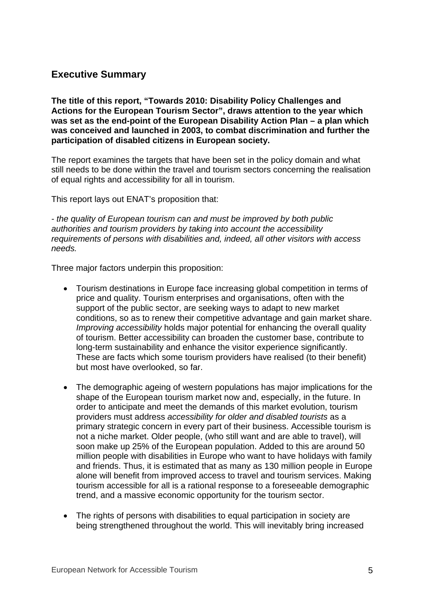## **Executive Summary**

**The title of this report, "Towards 2010: Disability Policy Challenges and Actions for the European Tourism Sector", draws attention to the year which was set as the end-point of the European Disability Action Plan – a plan which was conceived and launched in 2003, to combat discrimination and further the participation of disabled citizens in European society.** 

The report examines the targets that have been set in the policy domain and what still needs to be done within the travel and tourism sectors concerning the realisation of equal rights and accessibility for all in tourism.

This report lays out ENAT's proposition that:

*- the quality of European tourism can and must be improved by both public authorities and tourism providers by taking into account the accessibility requirements of persons with disabilities and, indeed, all other visitors with access needs.* 

Three major factors underpin this proposition:

- Tourism destinations in Europe face increasing global competition in terms of price and quality. Tourism enterprises and organisations, often with the support of the public sector, are seeking ways to adapt to new market conditions, so as to renew their competitive advantage and gain market share. *Improving accessibility* holds major potential for enhancing the overall quality of tourism. Better accessibility can broaden the customer base, contribute to long-term sustainability and enhance the visitor experience significantly. These are facts which some tourism providers have realised (to their benefit) but most have overlooked, so far.
- The demographic ageing of western populations has major implications for the shape of the European tourism market now and, especially, in the future. In order to anticipate and meet the demands of this market evolution, tourism providers must address *accessibility for older and disabled tourists* as a primary strategic concern in every part of their business. Accessible tourism is not a niche market. Older people, (who still want and are able to travel), will soon make up 25% of the European population. Added to this are around 50 million people with disabilities in Europe who want to have holidays with family and friends. Thus, it is estimated that as many as 130 million people in Europe alone will benefit from improved access to travel and tourism services. Making tourism accessible for all is a rational response to a foreseeable demographic trend, and a massive economic opportunity for the tourism sector.
- The rights of persons with disabilities to equal participation in society are being strengthened throughout the world. This will inevitably bring increased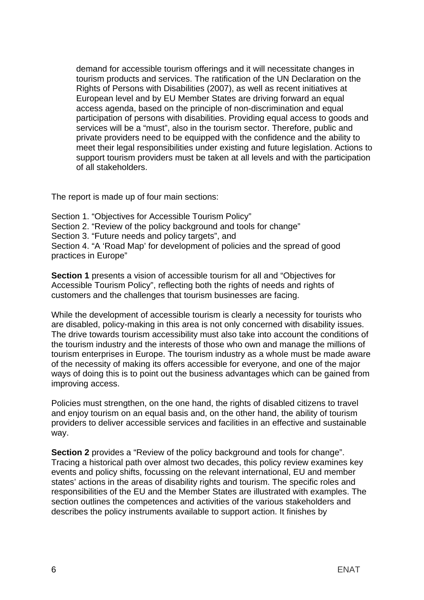demand for accessible tourism offerings and it will necessitate changes in tourism products and services. The ratification of the UN Declaration on the Rights of Persons with Disabilities (2007), as well as recent initiatives at European level and by EU Member States are driving forward an equal access agenda, based on the principle of non-discrimination and equal participation of persons with disabilities. Providing equal access to goods and services will be a "must", also in the tourism sector. Therefore, public and private providers need to be equipped with the confidence and the ability to meet their legal responsibilities under existing and future legislation. Actions to support tourism providers must be taken at all levels and with the participation of all stakeholders.

The report is made up of four main sections:

Section 1. "Objectives for Accessible Tourism Policy" Section 2. "Review of the policy background and tools for change" Section 3. "Future needs and policy targets", and Section 4. "A 'Road Map' for development of policies and the spread of good practices in Europe"

**Section 1** presents a vision of accessible tourism for all and "Objectives for Accessible Tourism Policy", reflecting both the rights of needs and rights of customers and the challenges that tourism businesses are facing.

While the development of accessible tourism is clearly a necessity for tourists who are disabled, policy-making in this area is not only concerned with disability issues. The drive towards tourism accessibility must also take into account the conditions of the tourism industry and the interests of those who own and manage the millions of tourism enterprises in Europe. The tourism industry as a whole must be made aware of the necessity of making its offers accessible for everyone, and one of the major ways of doing this is to point out the business advantages which can be gained from improving access.

Policies must strengthen, on the one hand, the rights of disabled citizens to travel and enjoy tourism on an equal basis and, on the other hand, the ability of tourism providers to deliver accessible services and facilities in an effective and sustainable way.

**Section 2** provides a "Review of the policy background and tools for change". Tracing a historical path over almost two decades, this policy review examines key events and policy shifts, focussing on the relevant international, EU and member states' actions in the areas of disability rights and tourism. The specific roles and responsibilities of the EU and the Member States are illustrated with examples. The section outlines the competences and activities of the various stakeholders and describes the policy instruments available to support action. It finishes by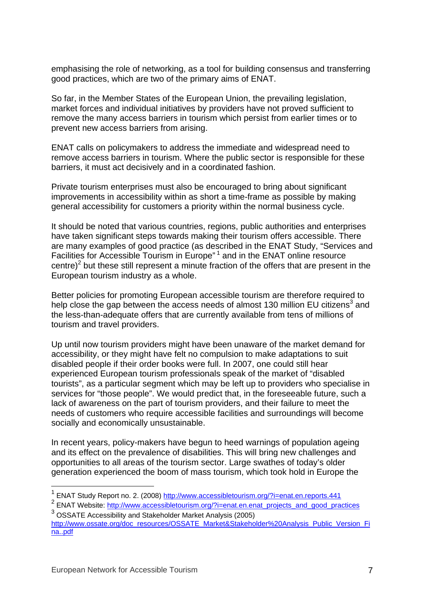emphasising the role of networking, as a tool for building consensus and transferring good practices, which are two of the primary aims of ENAT.

So far, in the Member States of the European Union, the prevailing legislation, market forces and individual initiatives by providers have not proved sufficient to remove the many access barriers in tourism which persist from earlier times or to prevent new access barriers from arising.

ENAT calls on policymakers to address the immediate and widespread need to remove access barriers in tourism. Where the public sector is responsible for these barriers, it must act decisively and in a coordinated fashion.

Private tourism enterprises must also be encouraged to bring about significant improvements in accessibility within as short a time-frame as possible by making general accessibility for customers a priority within the normal business cycle.

It should be noted that various countries, regions, public authorities and enterprises have taken significant steps towards making their tourism offers accessible. There are many examples of good practice (as described in the ENAT Study, "Services and Facilities for Accessible Tourism in Europe"<sup>1</sup> and in the ENAT online resource centre)<sup>2</sup> but these still represent a minute fraction of the offers that are present in the European tourism industry as a whole.

Better policies for promoting European accessible tourism are therefore required to help close the gap between the access needs of almost 130 million EU citizens<sup>3</sup> and the less-than-adequate offers that are currently available from tens of millions of tourism and travel providers.

Up until now tourism providers might have been unaware of the market demand for accessibility, or they might have felt no compulsion to make adaptations to suit disabled people if their order books were full. In 2007, one could still hear experienced European tourism professionals speak of the market of "disabled tourists", as a particular segment which may be left up to providers who specialise in services for "those people". We would predict that, in the foreseeable future, such a lack of awareness on the part of tourism providers, and their failure to meet the needs of customers who require accessible facilities and surroundings will become socially and economically unsustainable.

In recent years, policy-makers have begun to heed warnings of population ageing and its effect on the prevalence of disabilities. This will bring new challenges and opportunities to all areas of the tourism sector. Large swathes of today's older generation experienced the boom of mass tourism, which took hold in Europe the

<sup>&</sup>lt;sup>1</sup> ENAT Study Report no. 2. (2008) http://www.accessibletourism.org/?i=enat.en.reports.441 <sup>'</sup> ENAT Study Report no. 2. (2008) <u>http://www.accessibletourism.org/?i=enat.en.reports.441</u><br><sup>2</sup> ENAT Website: http://www.accessibletourism.org/?i\_enat.en.anst\_ensieste\_end\_seed\_area

f ENAT Website: http://www.accessibletourism.org/?i=enat.en.enat\_projects\_and\_good\_practices 3<br>3 OSSATE Accessibility and Stakeholder Market Anglysis (2005)

 $3$  OSSATE Accessibility and Stakeholder Market Analysis (2005)

http://www.ossate.org/doc\_resources/OSSATE\_Market&Stakeholder%20Analysis\_Public\_Version\_Fi na..pdf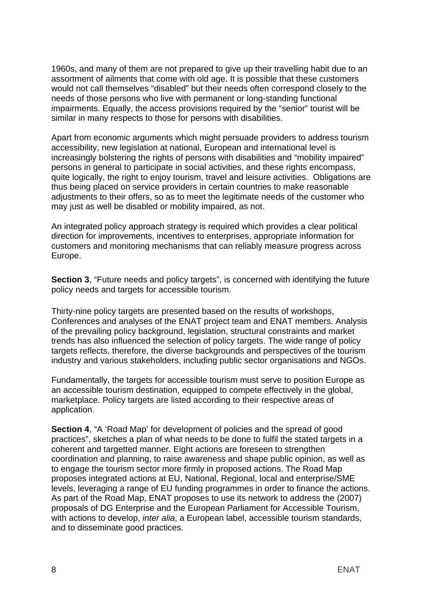1960s, and many of them are not prepared to give up their travelling habit due to an assortment of ailments that come with old age. It is possible that these customers would not call themselves "disabled" but their needs often correspond closely to the needs of those persons who live with permanent or long-standing functional impairments. Equally, the access provisions required by the "senior" tourist will be similar in many respects to those for persons with disabilities.

Apart from economic arguments which might persuade providers to address tourism accessibility, new legislation at national, European and international level is increasingly bolstering the rights of persons with disabilities and "mobility impaired" persons in general to participate in social activities, and these rights encompass, quite logically, the right to enjoy tourism, travel and leisure activities. Obligations are thus being placed on service providers in certain countries to make reasonable adjustments to their offers, so as to meet the legitimate needs of the customer who may just as well be disabled or mobility impaired, as not.

An integrated policy approach strategy is required which provides a clear political direction for improvements, incentives to enterprises, appropriate information for customers and monitoring mechanisms that can reliably measure progress across Europe.

**Section 3**, "Future needs and policy targets", is concerned with identifying the future policy needs and targets for accessible tourism.

Thirty-nine policy targets are presented based on the results of workshops, Conferences and analyses of the ENAT project team and ENAT members. Analysis of the prevailing policy background, legislation, structural constraints and market trends has also influenced the selection of policy targets. The wide range of policy targets reflects, therefore, the diverse backgrounds and perspectives of the tourism industry and various stakeholders, including public sector organisations and NGOs.

Fundamentally, the targets for accessible tourism must serve to position Europe as an accessible tourism destination, equipped to compete effectively in the global, marketplace. Policy targets are listed according to their respective areas of application.

**Section 4, "A 'Road Map' for development of policies and the spread of good** practices", sketches a plan of what needs to be done to fulfil the stated targets in a coherent and targetted manner. Eight actions are foreseen to strengthen coordination and planning, to raise awareness and shape public opinion, as well as to engage the tourism sector more firmly in proposed actions. The Road Map proposes integrated actions at EU, National, Regional, local and enterprise/SME levels, leveraging a range of EU funding programmes in order to finance the actions. As part of the Road Map, ENAT proposes to use its network to address the (2007) proposals of DG Enterprise and the European Parliament for Accessible Tourism, with actions to develop, *inter alia*, a European label, accessible tourism standards, and to disseminate good practices.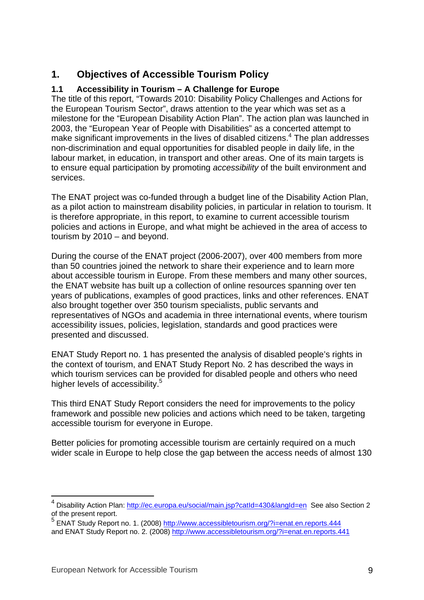# **1. Objectives of Accessible Tourism Policy**

#### **1.1 Accessibility in Tourism – A Challenge for Europe**

The title of this report, "Towards 2010: Disability Policy Challenges and Actions for the European Tourism Sector", draws attention to the year which was set as a milestone for the "European Disability Action Plan". The action plan was launched in 2003, the "European Year of People with Disabilities" as a concerted attempt to make significant improvements in the lives of disabled citizens.<sup>4</sup> The plan addresses non-discrimination and equal opportunities for disabled people in daily life, in the labour market, in education, in transport and other areas. One of its main targets is to ensure equal participation by promoting *accessibility* of the built environment and services.

The ENAT project was co-funded through a budget line of the Disability Action Plan, as a pilot action to mainstream disability policies, in particular in relation to tourism. It is therefore appropriate, in this report, to examine to current accessible tourism policies and actions in Europe, and what might be achieved in the area of access to tourism by 2010 – and beyond.

During the course of the ENAT project (2006-2007), over 400 members from more than 50 countries joined the network to share their experience and to learn more about accessible tourism in Europe. From these members and many other sources, the ENAT website has built up a collection of online resources spanning over ten years of publications, examples of good practices, links and other references. ENAT also brought together over 350 tourism specialists, public servants and representatives of NGOs and academia in three international events, where tourism accessibility issues, policies, legislation, standards and good practices were presented and discussed.

ENAT Study Report no. 1 has presented the analysis of disabled people's rights in the context of tourism, and ENAT Study Report No. 2 has described the ways in which tourism services can be provided for disabled people and others who need higher levels of accessibility.<sup>5</sup>

This third ENAT Study Report considers the need for improvements to the policy framework and possible new policies and actions which need to be taken, targeting accessible tourism for everyone in Europe.

Better policies for promoting accessible tourism are certainly required on a much wider scale in Europe to help close the gap between the access needs of almost 130

<sup>&</sup>lt;sup>4</sup> Disability Action Plan: http://ec.europa.eu/social/main.jsp?catId=430&langId=en See also Section 2 of the present report.

<sup>5</sup> ENAT Study Report no. 1. (2008) http://www.accessibletourism.org/?i=enat.en.reports.444 and ENAT Study Report no. 2. (2008) http://www.accessibletourism.org/?i=enat.en.reports.441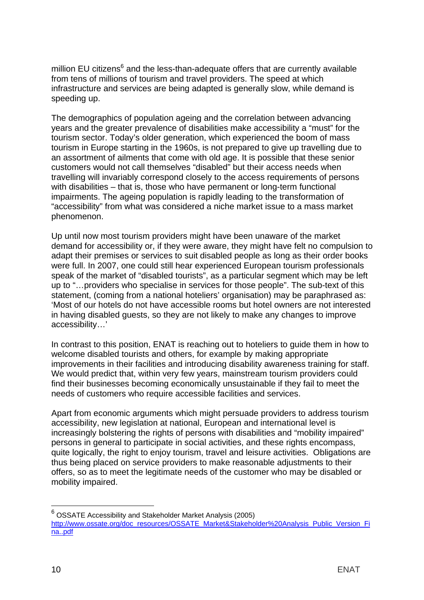million EU citizens<sup>6</sup> and the less-than-adequate offers that are currently available from tens of millions of tourism and travel providers. The speed at which infrastructure and services are being adapted is generally slow, while demand is speeding up.

The demographics of population ageing and the correlation between advancing years and the greater prevalence of disabilities make accessibility a "must" for the tourism sector. Today's older generation, which experienced the boom of mass tourism in Europe starting in the 1960s, is not prepared to give up travelling due to an assortment of ailments that come with old age. It is possible that these senior customers would not call themselves "disabled" but their access needs when travelling will invariably correspond closely to the access requirements of persons with disabilities – that is, those who have permanent or long-term functional impairments. The ageing population is rapidly leading to the transformation of "accessibility" from what was considered a niche market issue to a mass market phenomenon.

Up until now most tourism providers might have been unaware of the market demand for accessibility or, if they were aware, they might have felt no compulsion to adapt their premises or services to suit disabled people as long as their order books were full. In 2007, one could still hear experienced European tourism professionals speak of the market of "disabled tourists", as a particular segment which may be left up to "…providers who specialise in services for those people". The sub-text of this statement, (coming from a national hoteliers' organisation) may be paraphrased as: 'Most of our hotels do not have accessible rooms but hotel owners are not interested in having disabled guests, so they are not likely to make any changes to improve accessibility…'

In contrast to this position, ENAT is reaching out to hoteliers to quide them in how to welcome disabled tourists and others, for example by making appropriate improvements in their facilities and introducing disability awareness training for staff. We would predict that, within very few years, mainstream tourism providers could find their businesses becoming economically unsustainable if they fail to meet the needs of customers who require accessible facilities and services.

Apart from economic arguments which might persuade providers to address tourism accessibility, new legislation at national, European and international level is increasingly bolstering the rights of persons with disabilities and "mobility impaired" persons in general to participate in social activities, and these rights encompass, quite logically, the right to enjoy tourism, travel and leisure activities. Obligations are thus being placed on service providers to make reasonable adjustments to their offers, so as to meet the legitimate needs of the customer who may be disabled or mobility impaired.

 $^6$  OSSATE Accessibility and Stakeholder Market Analysis (2005) http://www.ossate.org/doc\_resources/OSSATE\_Market&Stakeholder%20Analysis\_Public\_Version\_Fi na..pdf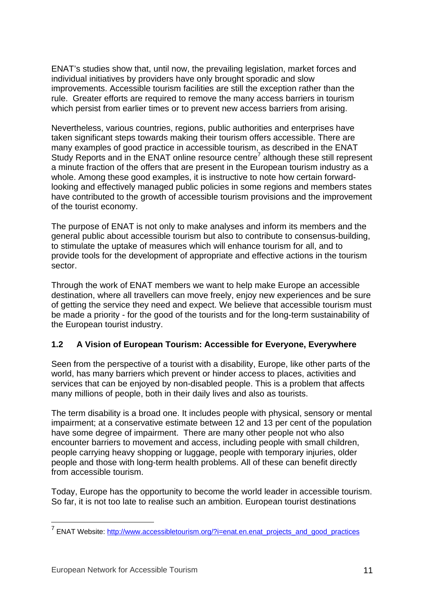ENAT's studies show that, until now, the prevailing legislation, market forces and individual initiatives by providers have only brought sporadic and slow improvements. Accessible tourism facilities are still the exception rather than the rule. Greater efforts are required to remove the many access barriers in tourism which persist from earlier times or to prevent new access barriers from arising.

Nevertheless, various countries, regions, public authorities and enterprises have taken significant steps towards making their tourism offers accessible. There are many examples of good practice in accessible tourism, as described in the ENAT Study Reports and in the ENAT online resource centre<sup>7</sup> although these still represent a minute fraction of the offers that are present in the European tourism industry as a whole. Among these good examples, it is instructive to note how certain forwardlooking and effectively managed public policies in some regions and members states have contributed to the growth of accessible tourism provisions and the improvement of the tourist economy.

The purpose of ENAT is not only to make analyses and inform its members and the general public about accessible tourism but also to contribute to consensus-building, to stimulate the uptake of measures which will enhance tourism for all, and to provide tools for the development of appropriate and effective actions in the tourism sector.

Through the work of ENAT members we want to help make Europe an accessible destination, where all travellers can move freely, enjoy new experiences and be sure of getting the service they need and expect. We believe that accessible tourism must be made a priority - for the good of the tourists and for the long-term sustainability of the European tourist industry.

### **1.2 A Vision of European Tourism: Accessible for Everyone, Everywhere**

Seen from the perspective of a tourist with a disability, Europe, like other parts of the world, has many barriers which prevent or hinder access to places, activities and services that can be enjoyed by non-disabled people. This is a problem that affects many millions of people, both in their daily lives and also as tourists.

The term disability is a broad one. It includes people with physical, sensory or mental impairment; at a conservative estimate between 12 and 13 per cent of the population have some degree of impairment. There are many other people not who also encounter barriers to movement and access, including people with small children, people carrying heavy shopping or luggage, people with temporary injuries, older people and those with long-term health problems. All of these can benefit directly from accessible tourism.

Today, Europe has the opportunity to become the world leader in accessible tourism. So far, it is not too late to realise such an ambition. European tourist destinations

 7 ENAT Website: http://www.accessibletourism.org/?i=enat.en.enat\_projects\_and\_good\_practices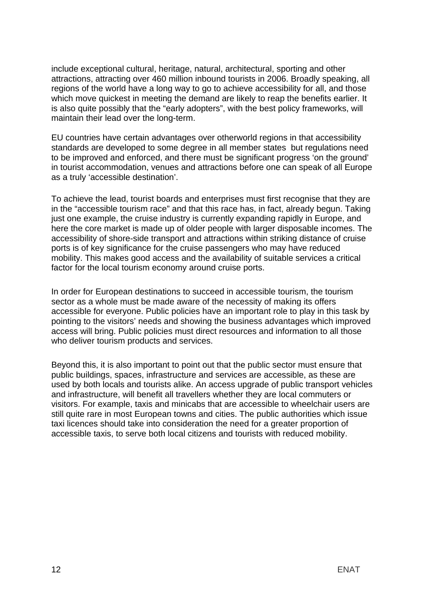include exceptional cultural, heritage, natural, architectural, sporting and other attractions, attracting over 460 million inbound tourists in 2006. Broadly speaking, all regions of the world have a long way to go to achieve accessibility for all, and those which move quickest in meeting the demand are likely to reap the benefits earlier. It is also quite possibly that the "early adopters", with the best policy frameworks, will maintain their lead over the long-term.

EU countries have certain advantages over otherworld regions in that accessibility standards are developed to some degree in all member states but regulations need to be improved and enforced, and there must be significant progress 'on the ground' in tourist accommodation, venues and attractions before one can speak of all Europe as a truly 'accessible destination'.

To achieve the lead, tourist boards and enterprises must first recognise that they are in the "accessible tourism race" and that this race has, in fact, already begun. Taking just one example, the cruise industry is currently expanding rapidly in Europe, and here the core market is made up of older people with larger disposable incomes. The accessibility of shore-side transport and attractions within striking distance of cruise ports is of key significance for the cruise passengers who may have reduced mobility. This makes good access and the availability of suitable services a critical factor for the local tourism economy around cruise ports.

In order for European destinations to succeed in accessible tourism, the tourism sector as a whole must be made aware of the necessity of making its offers accessible for everyone. Public policies have an important role to play in this task by pointing to the visitors' needs and showing the business advantages which improved access will bring. Public policies must direct resources and information to all those who deliver tourism products and services.

Beyond this, it is also important to point out that the public sector must ensure that public buildings, spaces, infrastructure and services are accessible, as these are used by both locals and tourists alike. An access upgrade of public transport vehicles and infrastructure, will benefit all travellers whether they are local commuters or visitors. For example, taxis and minicabs that are accessible to wheelchair users are still quite rare in most European towns and cities. The public authorities which issue taxi licences should take into consideration the need for a greater proportion of accessible taxis, to serve both local citizens and tourists with reduced mobility.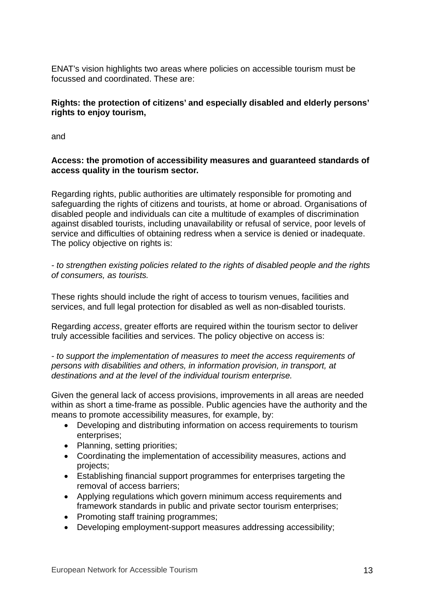ENAT's vision highlights two areas where policies on accessible tourism must be focussed and coordinated. These are:

#### **Rights: the protection of citizens' and especially disabled and elderly persons' rights to enjoy tourism,**

and

#### **Access: the promotion of accessibility measures and guaranteed standards of access quality in the tourism sector.**

Regarding rights, public authorities are ultimately responsible for promoting and safeguarding the rights of citizens and tourists, at home or abroad. Organisations of disabled people and individuals can cite a multitude of examples of discrimination against disabled tourists, including unavailability or refusal of service, poor levels of service and difficulties of obtaining redress when a service is denied or inadequate. The policy objective on rights is:

*- to strengthen existing policies related to the rights of disabled people and the rights of consumers, as tourists.* 

These rights should include the right of access to tourism venues, facilities and services, and full legal protection for disabled as well as non-disabled tourists.

Regarding *access*, greater efforts are required within the tourism sector to deliver truly accessible facilities and services. The policy objective on access is:

*- to support the implementation of measures to meet the access requirements of persons with disabilities and others, in information provision, in transport, at destinations and at the level of the individual tourism enterprise.* 

Given the general lack of access provisions, improvements in all areas are needed within as short a time-frame as possible. Public agencies have the authority and the means to promote accessibility measures, for example, by:

- Developing and distributing information on access requirements to tourism enterprises;
- Planning, setting priorities:
- Coordinating the implementation of accessibility measures, actions and projects;
- Establishing financial support programmes for enterprises targeting the removal of access barriers;
- Applying regulations which govern minimum access requirements and framework standards in public and private sector tourism enterprises;
- Promoting staff training programmes;
- Developing employment-support measures addressing accessibility;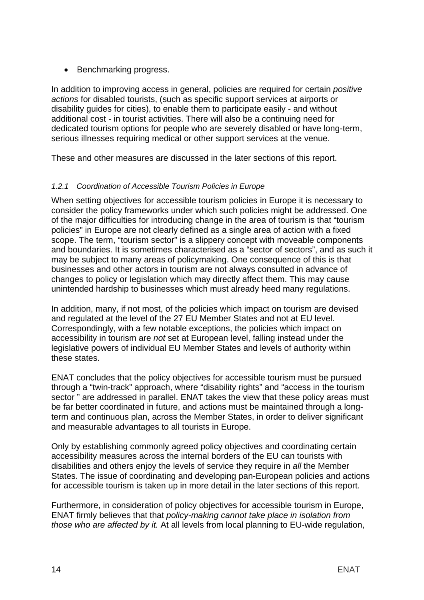• Benchmarking progress.

In addition to improving access in general, policies are required for certain *positive actions* for disabled tourists, (such as specific support services at airports or disability guides for cities), to enable them to participate easily - and without additional cost - in tourist activities. There will also be a continuing need for dedicated tourism options for people who are severely disabled or have long-term, serious illnesses requiring medical or other support services at the venue.

These and other measures are discussed in the later sections of this report.

#### *1.2.1 Coordination of Accessible Tourism Policies in Europe*

When setting objectives for accessible tourism policies in Europe it is necessary to consider the policy frameworks under which such policies might be addressed. One of the major difficulties for introducing change in the area of tourism is that "tourism policies" in Europe are not clearly defined as a single area of action with a fixed scope. The term, "tourism sector" is a slippery concept with moveable components and boundaries. It is sometimes characterised as a "sector of sectors", and as such it may be subject to many areas of policymaking. One consequence of this is that businesses and other actors in tourism are not always consulted in advance of changes to policy or legislation which may directly affect them. This may cause unintended hardship to businesses which must already heed many regulations.

In addition, many, if not most, of the policies which impact on tourism are devised and regulated at the level of the 27 EU Member States and not at EU level. Correspondingly, with a few notable exceptions, the policies which impact on accessibility in tourism are *not* set at European level, falling instead under the legislative powers of individual EU Member States and levels of authority within these states.

ENAT concludes that the policy objectives for accessible tourism must be pursued through a "twin-track" approach, where "disability rights" and "access in the tourism sector " are addressed in parallel. ENAT takes the view that these policy areas must be far better coordinated in future, and actions must be maintained through a longterm and continuous plan, across the Member States, in order to deliver significant and measurable advantages to all tourists in Europe.

Only by establishing commonly agreed policy objectives and coordinating certain accessibility measures across the internal borders of the EU can tourists with disabilities and others enjoy the levels of service they require in *all* the Member States. The issue of coordinating and developing pan-European policies and actions for accessible tourism is taken up in more detail in the later sections of this report.

Furthermore, in consideration of policy objectives for accessible tourism in Europe, ENAT firmly believes that that *policy-making cannot take place in isolation from those who are affected by it.* At all levels from local planning to EU-wide regulation,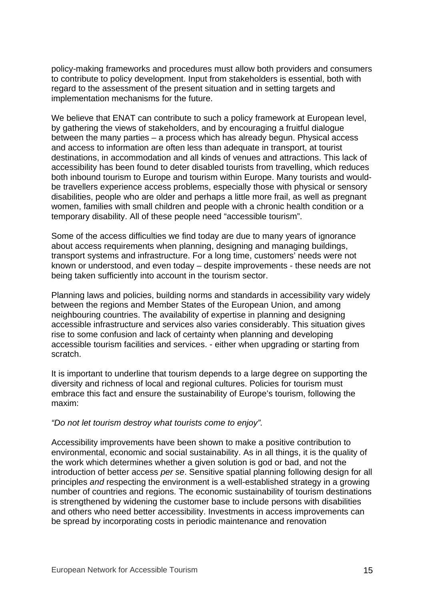policy-making frameworks and procedures must allow both providers and consumers to contribute to policy development. Input from stakeholders is essential, both with regard to the assessment of the present situation and in setting targets and implementation mechanisms for the future.

We believe that ENAT can contribute to such a policy framework at European level, by gathering the views of stakeholders, and by encouraging a fruitful dialogue between the many parties – a process which has already begun. Physical access and access to information are often less than adequate in transport, at tourist destinations, in accommodation and all kinds of venues and attractions. This lack of accessibility has been found to deter disabled tourists from travelling, which reduces both inbound tourism to Europe and tourism within Europe. Many tourists and wouldbe travellers experience access problems, especially those with physical or sensory disabilities, people who are older and perhaps a little more frail, as well as pregnant women, families with small children and people with a chronic health condition or a temporary disability. All of these people need "accessible tourism".

Some of the access difficulties we find today are due to many years of ignorance about access requirements when planning, designing and managing buildings, transport systems and infrastructure. For a long time, customers' needs were not known or understood, and even today – despite improvements - these needs are not being taken sufficiently into account in the tourism sector.

Planning laws and policies, building norms and standards in accessibility vary widely between the regions and Member States of the European Union, and among neighbouring countries. The availability of expertise in planning and designing accessible infrastructure and services also varies considerably. This situation gives rise to some confusion and lack of certainty when planning and developing accessible tourism facilities and services. - either when upgrading or starting from scratch.

It is important to underline that tourism depends to a large degree on supporting the diversity and richness of local and regional cultures. Policies for tourism must embrace this fact and ensure the sustainability of Europe's tourism, following the maxim:

#### *"Do not let tourism destroy what tourists come to enjoy".*

Accessibility improvements have been shown to make a positive contribution to environmental, economic and social sustainability. As in all things, it is the quality of the work which determines whether a given solution is god or bad, and not the introduction of better access *per se*. Sensitive spatial planning following design for all principles *and* respecting the environment is a well-established strategy in a growing number of countries and regions. The economic sustainability of tourism destinations is strengthened by widening the customer base to include persons with disabilities and others who need better accessibility. Investments in access improvements can be spread by incorporating costs in periodic maintenance and renovation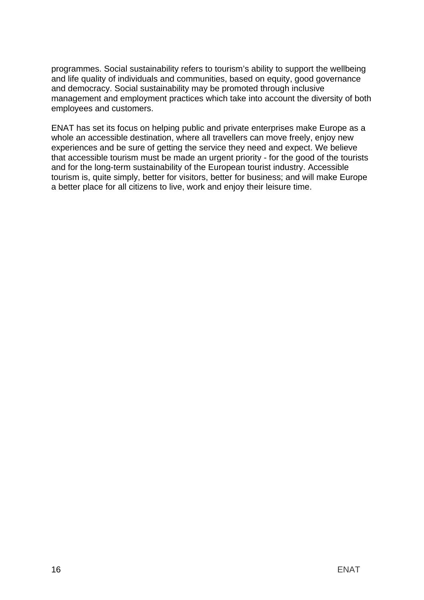programmes. Social sustainability refers to tourism's ability to support the wellbeing and life quality of individuals and communities, based on equity, good governance and democracy. Social sustainability may be promoted through inclusive management and employment practices which take into account the diversity of both employees and customers.

ENAT has set its focus on helping public and private enterprises make Europe as a whole an accessible destination, where all travellers can move freely, enjoy new experiences and be sure of getting the service they need and expect. We believe that accessible tourism must be made an urgent priority - for the good of the tourists and for the long-term sustainability of the European tourist industry. Accessible tourism is, quite simply, better for visitors, better for business; and will make Europe a better place for all citizens to live, work and enjoy their leisure time.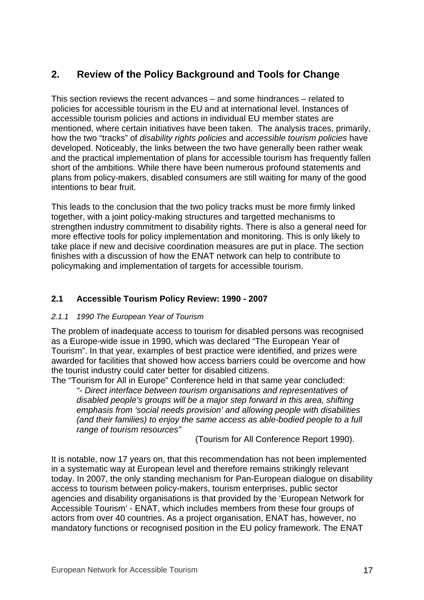# **2. Review of the Policy Background and Tools for Change**

This section reviews the recent advances – and some hindrances – related to policies for accessible tourism in the EU and at international level. Instances of accessible tourism policies and actions in individual EU member states are mentioned, where certain initiatives have been taken. The analysis traces, primarily, how the two "tracks" of *disability rights policies* and *accessible tourism policies* have developed. Noticeably, the links between the two have generally been rather weak and the practical implementation of plans for accessible tourism has frequently fallen short of the ambitions. While there have been numerous profound statements and plans from policy-makers, disabled consumers are still waiting for many of the good intentions to bear fruit.

This leads to the conclusion that the two policy tracks must be more firmly linked together, with a joint policy-making structures and targetted mechanisms to strengthen industry commitment to disability rights. There is also a general need for more effective tools for policy implementation and monitoring. This is only likely to take place if new and decisive coordination measures are put in place. The section finishes with a discussion of how the ENAT network can help to contribute to policymaking and implementation of targets for accessible tourism.

#### **2.1 Accessible Tourism Policy Review: 1990 - 2007**

#### *2.1.1 1990 The European Year of Tourism*

The problem of inadequate access to tourism for disabled persons was recognised as a Europe-wide issue in 1990, which was declared "The European Year of Tourism". In that year, examples of best practice were identified, and prizes were awarded for facilities that showed how access barriers could be overcome and how the tourist industry could cater better for disabled citizens.

The "Tourism for All in Europe" Conference held in that same year concluded: *"- Direct interface between tourism organisations and representatives of disabled people's groups will be a major step forward in this area, shifting emphasis from 'social needs provision' and allowing people with disabilities (and their families) to enjoy the same access as able-bodied people to a full range of tourism resources"* 

(Tourism for All Conference Report 1990).

It is notable, now 17 years on, that this recommendation has not been implemented in a systematic way at European level and therefore remains strikingly relevant today. In 2007, the only standing mechanism for Pan-European dialogue on disability access to tourism between policy-makers, tourism enterprises, public sector agencies and disability organisations is that provided by the 'European Network for Accessible Tourism' - ENAT, which includes members from these four groups of actors from over 40 countries. As a project organisation, ENAT has, however, no mandatory functions or recognised position in the EU policy framework. The ENAT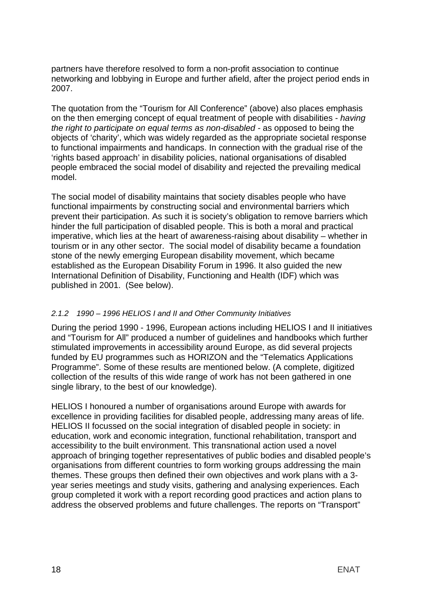partners have therefore resolved to form a non-profit association to continue networking and lobbying in Europe and further afield, after the project period ends in 2007.

The quotation from the "Tourism for All Conference" (above) also places emphasis on the then emerging concept of equal treatment of people with disabilities - *having the right to participate on equal terms as non-disabled -* as opposed to being the objects of 'charity', which was widely regarded as the appropriate societal response to functional impairments and handicaps. In connection with the gradual rise of the 'rights based approach' in disability policies, national organisations of disabled people embraced the social model of disability and rejected the prevailing medical model.

The social model of disability maintains that society disables people who have functional impairments by constructing social and environmental barriers which prevent their participation. As such it is society's obligation to remove barriers which hinder the full participation of disabled people. This is both a moral and practical imperative, which lies at the heart of awareness-raising about disability – whether in tourism or in any other sector. The social model of disability became a foundation stone of the newly emerging European disability movement, which became established as the European Disability Forum in 1996. It also guided the new International Definition of Disability, Functioning and Health (IDF) which was published in 2001. (See below).

#### *2.1.2 1990 – 1996 HELIOS I and II and Other Community Initiatives*

During the period 1990 - 1996, European actions including HELIOS I and II initiatives and "Tourism for All" produced a number of guidelines and handbooks which further stimulated improvements in accessibility around Europe, as did several projects funded by EU programmes such as HORIZON and the "Telematics Applications Programme". Some of these results are mentioned below. (A complete, digitized collection of the results of this wide range of work has not been gathered in one single library, to the best of our knowledge).

HELIOS I honoured a number of organisations around Europe with awards for excellence in providing facilities for disabled people, addressing many areas of life. HELIOS II focussed on the social integration of disabled people in society: in education, work and economic integration, functional rehabilitation, transport and accessibility to the built environment. This transnational action used a novel approach of bringing together representatives of public bodies and disabled people's organisations from different countries to form working groups addressing the main themes. These groups then defined their own objectives and work plans with a 3 year series meetings and study visits, gathering and analysing experiences. Each group completed it work with a report recording good practices and action plans to address the observed problems and future challenges. The reports on "Transport"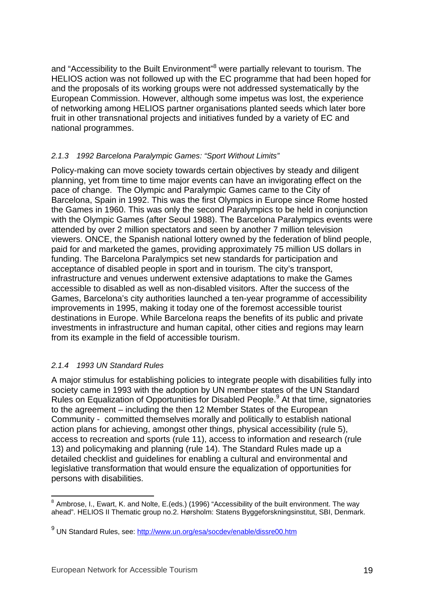and "Accessibility to the Built Environment"<sup>8</sup> were partially relevant to tourism. The HELIOS action was not followed up with the EC programme that had been hoped for and the proposals of its working groups were not addressed systematically by the European Commission. However, although some impetus was lost, the experience of networking among HELIOS partner organisations planted seeds which later bore fruit in other transnational projects and initiatives funded by a variety of EC and national programmes.

#### *2.1.3 1992 Barcelona Paralympic Games: "Sport Without Limits"*

Policy-making can move society towards certain objectives by steady and diligent planning, yet from time to time major events can have an invigorating effect on the pace of change. The Olympic and Paralympic Games came to the City of Barcelona, Spain in 1992. This was the first Olympics in Europe since Rome hosted the Games in 1960. This was only the second Paralympics to be held in conjunction with the Olympic Games (after Seoul 1988). The Barcelona Paralympics events were attended by over 2 million spectators and seen by another 7 million television viewers. ONCE, the Spanish national lottery owned by the federation of blind people, paid for and marketed the games, providing approximately 75 million US dollars in funding. The Barcelona Paralympics set new standards for participation and acceptance of disabled people in sport and in tourism. The city's transport, infrastructure and venues underwent extensive adaptations to make the Games accessible to disabled as well as non-disabled visitors. After the success of the Games, Barcelona's city authorities launched a ten-year programme of accessibility improvements in 1995, making it today one of the foremost accessible tourist destinations in Europe. While Barcelona reaps the benefits of its public and private investments in infrastructure and human capital, other cities and regions may learn from its example in the field of accessible tourism.

#### *2.1.4 1993 UN Standard Rules*

A major stimulus for establishing policies to integrate people with disabilities fully into society came in 1993 with the adoption by UN member states of the UN Standard Rules on Equalization of Opportunities for Disabled People.<sup>9</sup> At that time, signatories to the agreement – including the then 12 Member States of the European Community - committed themselves morally and politically to establish national action plans for achieving, amongst other things, physical accessibility (rule 5), access to recreation and sports (rule 11), access to information and research (rule 13) and policymaking and planning (rule 14). The Standard Rules made up a detailed checklist and guidelines for enabling a cultural and environmental and legislative transformation that would ensure the equalization of opportunities for persons with disabilities.

 $\overline{a}$  $^8$  Ambrose, I., Ewart, K. and Nolte, E.(eds.) (1996) "Accessibility of the built environment. The way ahead". HELIOS II Thematic group no.2. Hørsholm: Statens Byggeforskningsinstitut, SBI, Denmark.

<sup>&</sup>lt;sup>9</sup> UN Standard Rules, see: <u>http://www.un.org/esa/socdev/enable/dissre00.htm</u>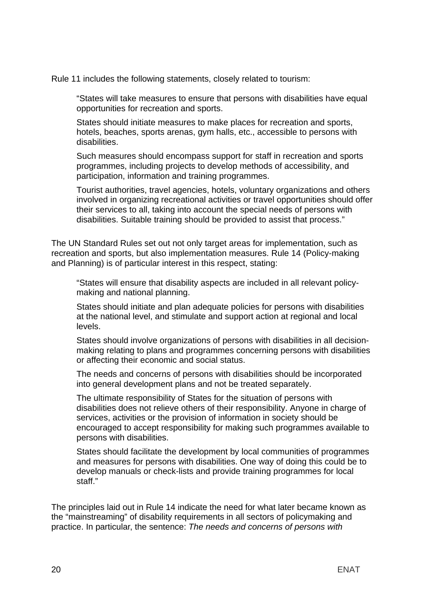Rule 11 includes the following statements, closely related to tourism:

"States will take measures to ensure that persons with disabilities have equal opportunities for recreation and sports.

States should initiate measures to make places for recreation and sports, hotels, beaches, sports arenas, gym halls, etc., accessible to persons with disabilities.

Such measures should encompass support for staff in recreation and sports programmes, including projects to develop methods of accessibility, and participation, information and training programmes.

Tourist authorities, travel agencies, hotels, voluntary organizations and others involved in organizing recreational activities or travel opportunities should offer their services to all, taking into account the special needs of persons with disabilities. Suitable training should be provided to assist that process."

The UN Standard Rules set out not only target areas for implementation, such as recreation and sports, but also implementation measures. Rule 14 (Policy-making and Planning) is of particular interest in this respect, stating:

"States will ensure that disability aspects are included in all relevant policymaking and national planning.

States should initiate and plan adequate policies for persons with disabilities at the national level, and stimulate and support action at regional and local levels.

States should involve organizations of persons with disabilities in all decisionmaking relating to plans and programmes concerning persons with disabilities or affecting their economic and social status.

The needs and concerns of persons with disabilities should be incorporated into general development plans and not be treated separately.

The ultimate responsibility of States for the situation of persons with disabilities does not relieve others of their responsibility. Anyone in charge of services, activities or the provision of information in society should be encouraged to accept responsibility for making such programmes available to persons with disabilities.

States should facilitate the development by local communities of programmes and measures for persons with disabilities. One way of doing this could be to develop manuals or check-lists and provide training programmes for local staff."

The principles laid out in Rule 14 indicate the need for what later became known as the "mainstreaming" of disability requirements in all sectors of policymaking and practice. In particular, the sentence: *The needs and concerns of persons with*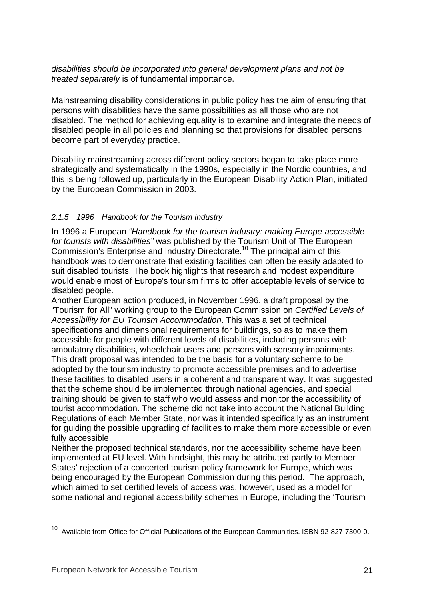#### *disabilities should be incorporated into general development plans and not be treated separately* is of fundamental importance.

Mainstreaming disability considerations in public policy has the aim of ensuring that persons with disabilities have the same possibilities as all those who are not disabled. The method for achieving equality is to examine and integrate the needs of disabled people in all policies and planning so that provisions for disabled persons become part of everyday practice.

Disability mainstreaming across different policy sectors began to take place more strategically and systematically in the 1990s, especially in the Nordic countries, and this is being followed up, particularly in the European Disability Action Plan, initiated by the European Commission in 2003.

#### *2.1.5 1996 Handbook for the Tourism Industry*

In 1996 a European *"Handbook for the tourism industry: making Europe accessible for tourists with disabilities"* was published by the Tourism Unit of The European Commission's Enterprise and Industry Directorate.10 The principal aim of this handbook was to demonstrate that existing facilities can often be easily adapted to suit disabled tourists. The book highlights that research and modest expenditure would enable most of Europe's tourism firms to offer acceptable levels of service to disabled people.

Another European action produced, in November 1996, a draft proposal by the "Tourism for All" working group to the European Commission on *Certified Levels of Accessibility for EU Tourism Accommodation*. This was a set of technical specifications and dimensional requirements for buildings, so as to make them accessible for people with different levels of disabilities, including persons with ambulatory disabilities, wheelchair users and persons with sensory impairments. This draft proposal was intended to be the basis for a voluntary scheme to be adopted by the tourism industry to promote accessible premises and to advertise these facilities to disabled users in a coherent and transparent way. It was suggested that the scheme should be implemented through national agencies, and special training should be given to staff who would assess and monitor the accessibility of tourist accommodation. The scheme did not take into account the National Building Regulations of each Member State, nor was it intended specifically as an instrument for guiding the possible upgrading of facilities to make them more accessible or even fully accessible.

Neither the proposed technical standards, nor the accessibility scheme have been implemented at EU level. With hindsight, this may be attributed partly to Member States' rejection of a concerted tourism policy framework for Europe, which was being encouraged by the European Commission during this period. The approach, which aimed to set certified levels of access was, however, used as a model for some national and regional accessibility schemes in Europe, including the 'Tourism

<sup>10</sup> 10 Available from Office for Official Publications of the European Communities. ISBN 92-827-7300-0.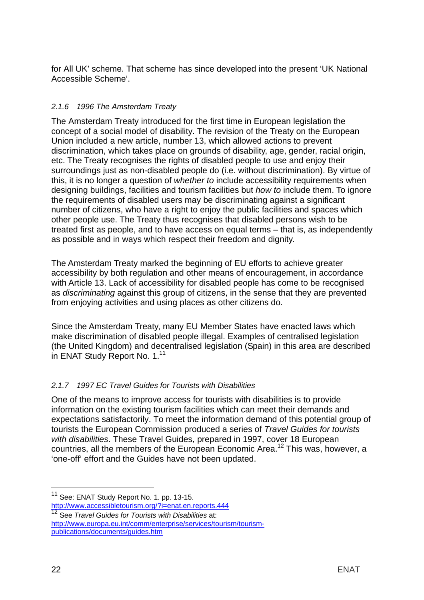for All UK' scheme. That scheme has since developed into the present 'UK National Accessible Scheme'.

#### *2.1.6 1996 The Amsterdam Treaty*

The Amsterdam Treaty introduced for the first time in European legislation the concept of a social model of disability. The revision of the Treaty on the European Union included a new article, number 13, which allowed actions to prevent discrimination, which takes place on grounds of disability, age, gender, racial origin, etc. The Treaty recognises the rights of disabled people to use and enjoy their surroundings just as non-disabled people do (i.e. without discrimination). By virtue of this, it is no longer a question of *whether to* include accessibility requirements when designing buildings, facilities and tourism facilities but *how to* include them. To ignore the requirements of disabled users may be discriminating against a significant number of citizens, who have a right to enjoy the public facilities and spaces which other people use. The Treaty thus recognises that disabled persons wish to be treated first as people, and to have access on equal terms – that is, as independently as possible and in ways which respect their freedom and dignity.

The Amsterdam Treaty marked the beginning of EU efforts to achieve greater accessibility by both regulation and other means of encouragement, in accordance with Article 13. Lack of accessibility for disabled people has come to be recognised as *discriminating* against this group of citizens, in the sense that they are prevented from enjoying activities and using places as other citizens do.

Since the Amsterdam Treaty, many EU Member States have enacted laws which make discrimination of disabled people illegal. Examples of centralised legislation (the United Kingdom) and decentralised legislation (Spain) in this area are described in ENAT Study Report No. 1.<sup>11</sup>

#### *2.1.7 1997 EC Travel Guides for Tourists with Disabilities*

One of the means to improve access for tourists with disabilities is to provide information on the existing tourism facilities which can meet their demands and expectations satisfactorily. To meet the information demand of this potential group of tourists the European Commission produced a series of *Travel Guides for tourists with disabilities*. These Travel Guides, prepared in 1997, cover 18 European countries, all the members of the European Economic Area.<sup>12</sup> This was, however, a 'one-off' effort and the Guides have not been updated.

<sup>&</sup>lt;sup>11</sup> See: ENAT Study Report No. 1. pp. 13-15.<br>http://www.accessibletourism.org/?i=enat.en.reports.444

<sup>&</sup>lt;sup>12</sup> See *Travel Guides for Tourists with Disabilities* at: http://www.europa.eu.int/comm/enterprise/services/tourism/tourismpublications/documents/guides.htm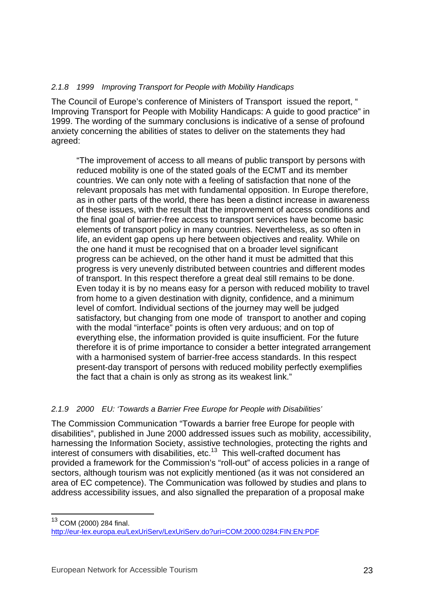#### *2.1.8 1999 Improving Transport for People with Mobility Handicaps*

The Council of Europe's conference of Ministers of Transport issued the report, " Improving Transport for People with Mobility Handicaps: A guide to good practice" in 1999. The wording of the summary conclusions is indicative of a sense of profound anxiety concerning the abilities of states to deliver on the statements they had agreed:

"The improvement of access to all means of public transport by persons with reduced mobility is one of the stated goals of the ECMT and its member countries. We can only note with a feeling of satisfaction that none of the relevant proposals has met with fundamental opposition. In Europe therefore, as in other parts of the world, there has been a distinct increase in awareness of these issues, with the result that the improvement of access conditions and the final goal of barrier-free access to transport services have become basic elements of transport policy in many countries. Nevertheless, as so often in life, an evident gap opens up here between objectives and reality. While on the one hand it must be recognised that on a broader level significant progress can be achieved, on the other hand it must be admitted that this progress is very unevenly distributed between countries and different modes of transport. In this respect therefore a great deal still remains to be done. Even today it is by no means easy for a person with reduced mobility to travel from home to a given destination with dignity, confidence, and a minimum level of comfort. Individual sections of the journey may well be judged satisfactory, but changing from one mode of transport to another and coping with the modal "interface" points is often very arduous; and on top of everything else, the information provided is quite insufficient. For the future therefore it is of prime importance to consider a better integrated arrangement with a harmonised system of barrier-free access standards. In this respect present-day transport of persons with reduced mobility perfectly exemplifies the fact that a chain is only as strong as its weakest link."

#### *2.1.9 2000 EU: 'Towards a Barrier Free Europe for People with Disabilities'*

The Commission Communication "Towards a barrier free Europe for people with disabilities", published in June 2000 addressed issues such as mobility, accessibility, harnessing the Information Society, assistive technologies, protecting the rights and interest of consumers with disabilities, etc.13 This well-crafted document has provided a framework for the Commission's "roll-out" of access policies in a range of sectors, although tourism was not explicitly mentioned (as it was not considered an area of EC competence). The Communication was followed by studies and plans to address accessibility issues, and also signalled the preparation of a proposal make

<sup>13</sup> COM (2000) 284 final.

http://eur-lex.europa.eu/LexUriServ/LexUriServ.do?uri=COM:2000:0284:FIN:EN:PDF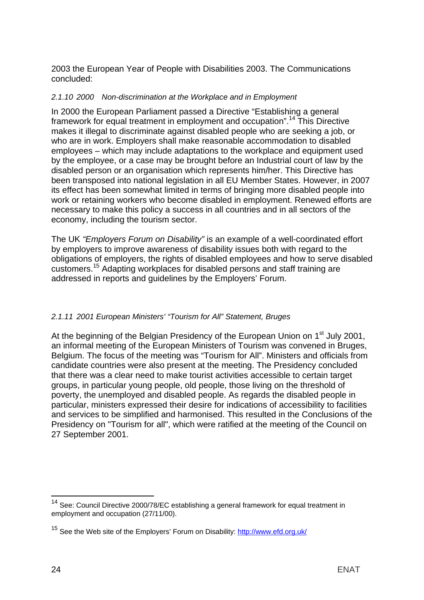2003 the European Year of People with Disabilities 2003. The Communications concluded:

#### *2.1.10 2000 Non-discrimination at the Workplace and in Employment*

In 2000 the European Parliament passed a Directive "Establishing a general framework for equal treatment in employment and occupation".14 This Directive makes it illegal to discriminate against disabled people who are seeking a job, or who are in work. Employers shall make reasonable accommodation to disabled employees – which may include adaptations to the workplace and equipment used by the employee, or a case may be brought before an Industrial court of law by the disabled person or an organisation which represents him/her. This Directive has been transposed into national legislation in all EU Member States. However, in 2007 its effect has been somewhat limited in terms of bringing more disabled people into work or retaining workers who become disabled in employment. Renewed efforts are necessary to make this policy a success in all countries and in all sectors of the economy, including the tourism sector.

The UK *"Employers Forum on Disability"* is an example of a well-coordinated effort by employers to improve awareness of disability issues both with regard to the obligations of employers, the rights of disabled employees and how to serve disabled customers.15 Adapting workplaces for disabled persons and staff training are addressed in reports and guidelines by the Employers' Forum.

#### *2.1.11 2001 European Ministers' "Tourism for All" Statement, Bruges*

At the beginning of the Belgian Presidency of the European Union on 1<sup>st</sup> July 2001, an informal meeting of the European Ministers of Tourism was convened in Bruges, Belgium. The focus of the meeting was "Tourism for All". Ministers and officials from candidate countries were also present at the meeting. The Presidency concluded that there was a clear need to make tourist activities accessible to certain target groups, in particular young people, old people, those living on the threshold of poverty, the unemployed and disabled people. As regards the disabled people in particular, ministers expressed their desire for indications of accessibility to facilities and services to be simplified and harmonised. This resulted in the Conclusions of the Presidency on "Tourism for all", which were ratified at the meeting of the Council on 27 September 2001.

<sup>&</sup>lt;sup>14</sup> See: Council Directive 2000/78/EC establishing a general framework for equal treatment in employment and occupation (27/11/00).

<sup>&</sup>lt;sup>15</sup> See the Web site of the Employers' Forum on Disability: http://www.efd.org.uk/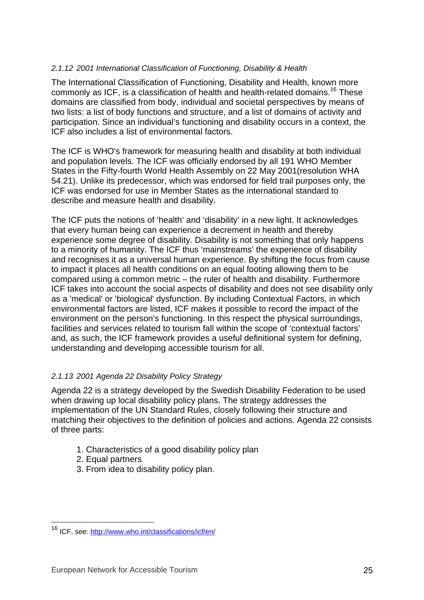#### *2.1.12 2001 International Classification of Functioning, Disability & Health*

The International Classification of Functioning, Disability and Health, known more commonly as ICF, is a classification of health and health-related domains.<sup>16</sup> These domains are classified from body, individual and societal perspectives by means of two lists: a list of body functions and structure, and a list of domains of activity and participation. Since an individual's functioning and disability occurs in a context, the ICF also includes a list of environmental factors.

The ICF is WHO's framework for measuring health and disability at both individual and population levels. The ICF was officially endorsed by all 191 WHO Member States in the Fifty-fourth World Health Assembly on 22 May 2001(resolution WHA 54.21). Unlike its predecessor, which was endorsed for field trail purposes only, the ICF was endorsed for use in Member States as the international standard to describe and measure health and disability.

The ICF puts the notions of 'health' and 'disability' in a new light. It acknowledges that every human being can experience a decrement in health and thereby experience some degree of disability. Disability is not something that only happens to a minority of humanity. The ICF thus 'mainstreams' the experience of disability and recognises it as a universal human experience. By shifting the focus from cause to impact it places all health conditions on an equal footing allowing them to be compared using a common metric – the ruler of health and disability. Furthermore ICF takes into account the social aspects of disability and does not see disability only as a 'medical' or 'biological' dysfunction. By including Contextual Factors, in which environmental factors are listed, ICF makes it possible to record the impact of the environment on the person's functioning. In this respect the physical surroundings, facilities and services related to tourism fall within the scope of 'contextual factors' and, as such, the ICF framework provides a useful definitional system for defining, understanding and developing accessible tourism for all.

#### *2.1.13 2001 Agenda 22 Disability Policy Strategy*

Agenda 22 is a strategy developed by the Swedish Disability Federation to be used when drawing up local disability policy plans. The strategy addresses the implementation of the UN Standard Rules, closely following their structure and matching their objectives to the definition of policies and actions. Agenda 22 consists of three parts:

- 1. Characteristics of a good disability policy plan
- 2. Equal partners

 $\overline{a}$ 

3. From idea to disability policy plan.

<sup>16</sup> ICF, see: http://www.who.int/classifications/icf/en/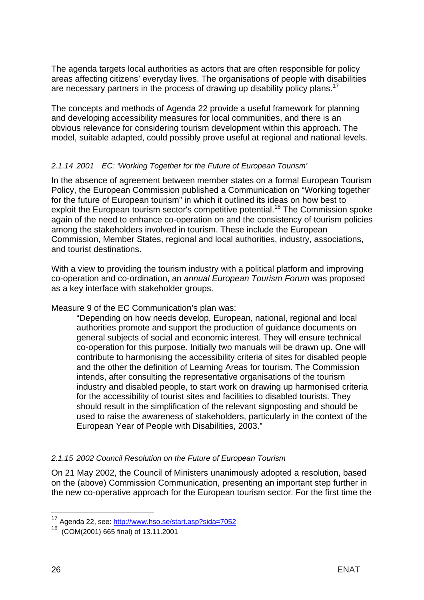The agenda targets local authorities as actors that are often responsible for policy areas affecting citizens' everyday lives. The organisations of people with disabilities are necessary partners in the process of drawing up disability policy plans.<sup>17</sup>

The concepts and methods of Agenda 22 provide a useful framework for planning and developing accessibility measures for local communities, and there is an obvious relevance for considering tourism development within this approach. The model, suitable adapted, could possibly prove useful at regional and national levels.

#### *2.1.14 2001 EC: 'Working Together for the Future of European Tourism'*

In the absence of agreement between member states on a formal European Tourism Policy, the European Commission published a Communication on "Working together for the future of European tourism" in which it outlined its ideas on how best to exploit the European tourism sector's competitive potential.<sup>18</sup> The Commission spoke again of the need to enhance co-operation on and the consistency of tourism policies among the stakeholders involved in tourism. These include the European Commission, Member States, regional and local authorities, industry, associations, and tourist destinations.

With a view to providing the tourism industry with a political platform and improving co-operation and co-ordination, an *annual European Tourism Forum* was proposed as a key interface with stakeholder groups.

Measure 9 of the EC Communication's plan was:

"Depending on how needs develop, European, national, regional and local authorities promote and support the production of guidance documents on general subjects of social and economic interest. They will ensure technical co-operation for this purpose. Initially two manuals will be drawn up. One will contribute to harmonising the accessibility criteria of sites for disabled people and the other the definition of Learning Areas for tourism. The Commission intends, after consulting the representative organisations of the tourism industry and disabled people, to start work on drawing up harmonised criteria for the accessibility of tourist sites and facilities to disabled tourists. They should result in the simplification of the relevant signposting and should be used to raise the awareness of stakeholders, particularly in the context of the European Year of People with Disabilities, 2003."

#### *2.1.15 2002 Council Resolution on the Future of European Tourism*

On 21 May 2002, the Council of Ministers unanimously adopted a resolution, based on the (above) Commission Communication, presenting an important step further in the new co-operative approach for the European tourism sector. For the first time the

<sup>&</sup>lt;sup>17</sup> Agenda 22, see: <u>http://www.hso.se/start.asp?sida=7052</u><br><sup>18</sup> (COM(2001) 665 final) of 13.11.2001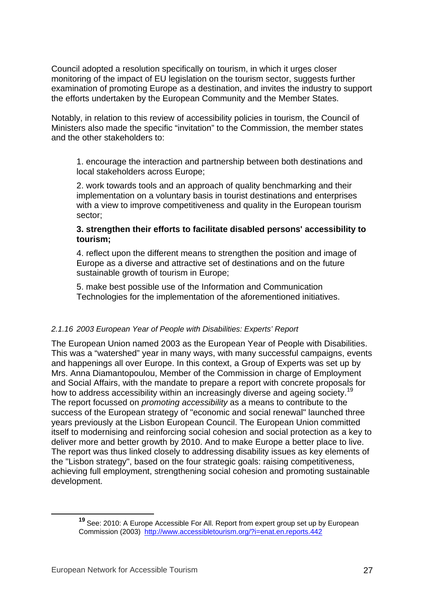Council adopted a resolution specifically on tourism, in which it urges closer monitoring of the impact of EU legislation on the tourism sector, suggests further examination of promoting Europe as a destination, and invites the industry to support the efforts undertaken by the European Community and the Member States.

Notably, in relation to this review of accessibility policies in tourism, the Council of Ministers also made the specific "invitation" to the Commission, the member states and the other stakeholders to:

1. encourage the interaction and partnership between both destinations and local stakeholders across Europe;

2. work towards tools and an approach of quality benchmarking and their implementation on a voluntary basis in tourist destinations and enterprises with a view to improve competitiveness and quality in the European tourism sector;

#### **3. strengthen their efforts to facilitate disabled persons' accessibility to tourism;**

4. reflect upon the different means to strengthen the position and image of Europe as a diverse and attractive set of destinations and on the future sustainable growth of tourism in Europe;

5. make best possible use of the Information and Communication Technologies for the implementation of the aforementioned initiatives.

#### *2.1.16 2003 European Year of People with Disabilities: Experts' Report*

The European Union named 2003 as the European Year of People with Disabilities. This was a "watershed" year in many ways, with many successful campaigns, events and happenings all over Europe. In this context, a Group of Experts was set up by Mrs. Anna Diamantopoulou, Member of the Commission in charge of Employment and Social Affairs, with the mandate to prepare a report with concrete proposals for how to address accessibility within an increasingly diverse and ageing society.<sup>19</sup> The report focussed on *promoting accessibility* as a means to contribute to the success of the European strategy of "economic and social renewal" launched three years previously at the Lisbon European Council. The European Union committed itself to modernising and reinforcing social cohesion and social protection as a key to deliver more and better growth by 2010. And to make Europe a better place to live. The report was thus linked closely to addressing disability issues as key elements of the "Lisbon strategy", based on the four strategic goals: raising competitiveness, achieving full employment, strengthening social cohesion and promoting sustainable development.

**<sup>19</sup>**See: 2010: A Europe Accessible For All. Report from expert group set up by European Commission (2003) http://www.accessibletourism.org/?i=enat.en.reports.442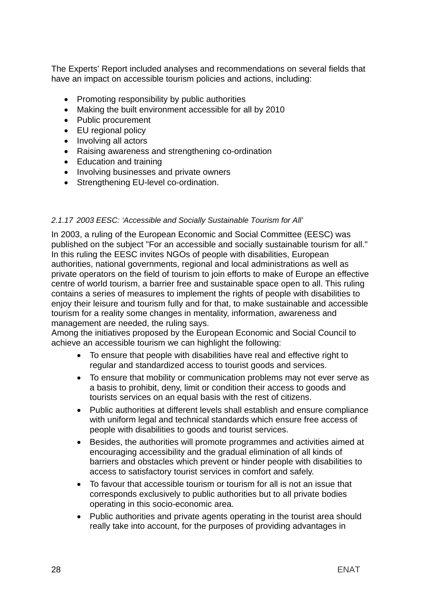The Experts' Report included analyses and recommendations on several fields that have an impact on accessible tourism policies and actions, including:

- Promoting responsibility by public authorities
- Making the built environment accessible for all by 2010
- Public procurement
- EU regional policy
- Involving all actors
- Raising awareness and strengthening co-ordination
- Education and training
- Involving businesses and private owners
- Strengthening EU-level co-ordination.

#### *2.1.17 2003 EESC: 'Accessible and Socially Sustainable Tourism for All'*

In 2003, a ruling of the European Economic and Social Committee (EESC) was published on the subject "For an accessible and socially sustainable tourism for all." In this ruling the EESC invites NGOs of people with disabilities, European authorities, national governments, regional and local administrations as well as private operators on the field of tourism to join efforts to make of Europe an effective centre of world tourism, a barrier free and sustainable space open to all. This ruling contains a series of measures to implement the rights of people with disabilities to enjoy their leisure and tourism fully and for that, to make sustainable and accessible tourism for a reality some changes in mentality, information, awareness and management are needed, the ruling says.

Among the initiatives proposed by the European Economic and Social Council to achieve an accessible tourism we can highlight the following:

- To ensure that people with disabilities have real and effective right to regular and standardized access to tourist goods and services.
- To ensure that mobility or communication problems may not ever serve as a basis to prohibit, deny, limit or condition their access to goods and tourists services on an equal basis with the rest of citizens.
- Public authorities at different levels shall establish and ensure compliance with uniform legal and technical standards which ensure free access of people with disabilities to goods and tourist services.
- Besides, the authorities will promote programmes and activities aimed at encouraging accessibility and the gradual elimination of all kinds of barriers and obstacles which prevent or hinder people with disabilities to access to satisfactory tourist services in comfort and safely.
- To favour that accessible tourism or tourism for all is not an issue that corresponds exclusively to public authorities but to all private bodies operating in this socio-economic area.
- Public authorities and private agents operating in the tourist area should really take into account, for the purposes of providing advantages in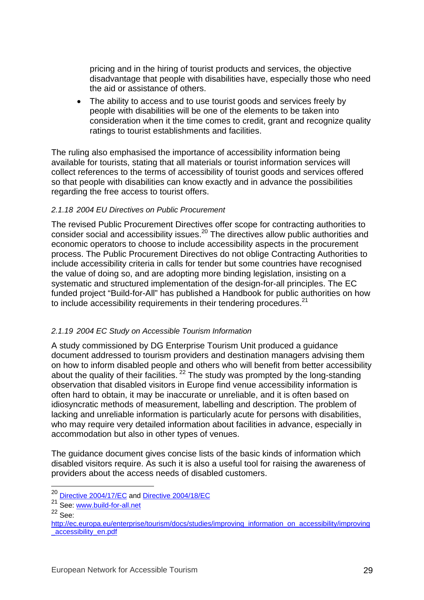pricing and in the hiring of tourist products and services, the objective disadvantage that people with disabilities have, especially those who need the aid or assistance of others.

• The ability to access and to use tourist goods and services freely by people with disabilities will be one of the elements to be taken into consideration when it the time comes to credit, grant and recognize quality ratings to tourist establishments and facilities.

The ruling also emphasised the importance of accessibility information being available for tourists, stating that all materials or tourist information services will collect references to the terms of accessibility of tourist goods and services offered so that people with disabilities can know exactly and in advance the possibilities regarding the free access to tourist offers.

#### *2.1.18 2004 EU Directives on Public Procurement*

The revised Public Procurement Directives offer scope for contracting authorities to consider social and accessibility issues.20 The directives allow public authorities and economic operators to choose to include accessibility aspects in the procurement process. The Public Procurement Directives do not oblige Contracting Authorities to include accessibility criteria in calls for tender but some countries have recognised the value of doing so, and are adopting more binding legislation, insisting on a systematic and structured implementation of the design-for-all principles. The EC funded project "Build-for-All" has published a Handbook for public authorities on how to include accessibility requirements in their tendering procedures.<sup>21</sup>

#### *2.1.19 2004 EC Study on Accessible Tourism Information*

A study commissioned by DG Enterprise Tourism Unit produced a guidance document addressed to tourism providers and destination managers advising them on how to inform disabled people and others who will benefit from better accessibility about the quality of their facilities. 22 The study was prompted by the long-standing observation that disabled visitors in Europe find venue accessibility information is often hard to obtain, it may be inaccurate or unreliable, and it is often based on idiosyncratic methods of measurement, labelling and description. The problem of lacking and unreliable information is particularly acute for persons with disabilities, who may require very detailed information about facilities in advance, especially in accommodation but also in other types of venues.

The guidance document gives concise lists of the basic kinds of information which disabled visitors require. As such it is also a useful tool for raising the awareness of providers about the access needs of disabled customers.

<sup>20</sup> Directive 2004/17/EC and Directive 2004/18/EC

 $rac{21}{22}$  See: www.build-for-all.net

http://ec.europa.eu/enterprise/tourism/docs/studies/improving\_information\_on\_accessibility/improving \_accessibility\_en.pdf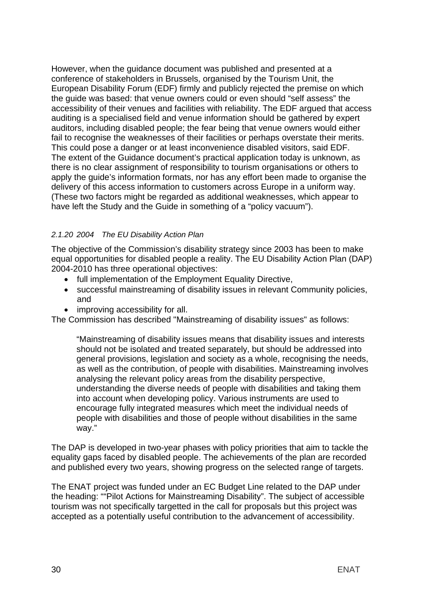However, when the guidance document was published and presented at a conference of stakeholders in Brussels, organised by the Tourism Unit, the European Disability Forum (EDF) firmly and publicly rejected the premise on which the guide was based: that venue owners could or even should "self assess" the accessibility of their venues and facilities with reliability. The EDF argued that access auditing is a specialised field and venue information should be gathered by expert auditors, including disabled people; the fear being that venue owners would either fail to recognise the weaknesses of their facilities or perhaps overstate their merits. This could pose a danger or at least inconvenience disabled visitors, said EDF. The extent of the Guidance document's practical application today is unknown, as there is no clear assignment of responsibility to tourism organisations or others to apply the guide's information formats, nor has any effort been made to organise the delivery of this access information to customers across Europe in a uniform way. (These two factors might be regarded as additional weaknesses, which appear to have left the Study and the Guide in something of a "policy vacuum").

#### *2.1.20 2004 The EU Disability Action Plan*

The objective of the Commission's disability strategy since 2003 has been to make equal opportunities for disabled people a reality. The EU Disability Action Plan (DAP) 2004-2010 has three operational objectives:

- full implementation of the Employment Equality Directive,
- successful mainstreaming of disability issues in relevant Community policies, and
- improving accessibility for all.

The Commission has described "Mainstreaming of disability issues" as follows:

"Mainstreaming of disability issues means that disability issues and interests should not be isolated and treated separately, but should be addressed into general provisions, legislation and society as a whole, recognising the needs, as well as the contribution, of people with disabilities. Mainstreaming involves analysing the relevant policy areas from the disability perspective, understanding the diverse needs of people with disabilities and taking them into account when developing policy. Various instruments are used to encourage fully integrated measures which meet the individual needs of people with disabilities and those of people without disabilities in the same way."

The DAP is developed in two-year phases with policy priorities that aim to tackle the equality gaps faced by disabled people. The achievements of the plan are recorded and published every two years, showing progress on the selected range of targets.

The ENAT project was funded under an EC Budget Line related to the DAP under the heading: ""Pilot Actions for Mainstreaming Disability". The subject of accessible tourism was not specifically targetted in the call for proposals but this project was accepted as a potentially useful contribution to the advancement of accessibility.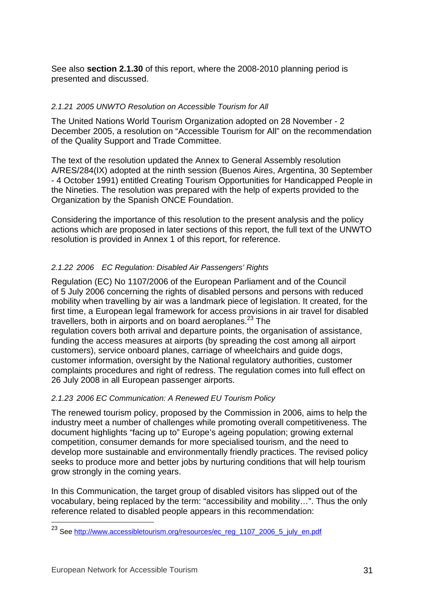See also **section 2.1.30** of this report, where the 2008-2010 planning period is presented and discussed.

#### *2.1.21 2005 UNWTO Resolution on Accessible Tourism for All*

The United Nations World Tourism Organization adopted on 28 November - 2 December 2005, a resolution on "Accessible Tourism for All" on the recommendation of the Quality Support and Trade Committee.

The text of the resolution updated the Annex to General Assembly resolution A/RES/284(IX) adopted at the ninth session (Buenos Aires, Argentina, 30 September - 4 October 1991) entitled Creating Tourism Opportunities for Handicapped People in the Nineties. The resolution was prepared with the help of experts provided to the Organization by the Spanish ONCE Foundation.

Considering the importance of this resolution to the present analysis and the policy actions which are proposed in later sections of this report, the full text of the UNWTO resolution is provided in Annex 1 of this report, for reference.

#### *2.1.22 2006 EC Regulation: Disabled Air Passengers' Rights*

Regulation (EC) No 1107/2006 of the European Parliament and of the Council of 5 July 2006 concerning the rights of disabled persons and persons with reduced mobility when travelling by air was a landmark piece of legislation. It created, for the first time, a European legal framework for access provisions in air travel for disabled travellers, both in airports and on board aeroplanes. $^{23}$  The regulation covers both arrival and departure points, the organisation of assistance, funding the access measures at airports (by spreading the cost among all airport customers), service onboard planes, carriage of wheelchairs and guide dogs, customer information, oversight by the National regulatory authorities, customer complaints procedures and right of redress. The regulation comes into full effect on 26 July 2008 in all European passenger airports.

#### *2.1.23 2006 EC Communication: A Renewed EU Tourism Policy*

The renewed tourism policy, proposed by the Commission in 2006, aims to help the industry meet a number of challenges while promoting overall competitiveness. The document highlights "facing up to" Europe's ageing population; growing external competition, consumer demands for more specialised tourism, and the need to develop more sustainable and environmentally friendly practices. The revised policy seeks to produce more and better jobs by nurturing conditions that will help tourism grow strongly in the coming years.

In this Communication, the target group of disabled visitors has slipped out of the vocabulary, being replaced by the term: "accessibility and mobility…". Thus the only reference related to disabled people appears in this recommendation:

<sup>&</sup>lt;sup>23</sup> See http://www.accessibletourism.org/resources/ec\_reg\_1107\_2006\_5\_july\_en.pdf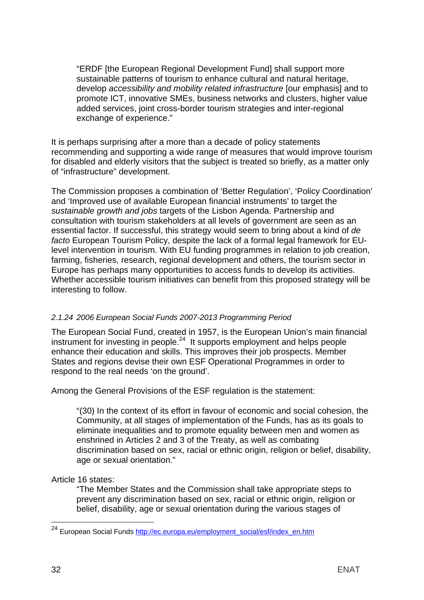"ERDF [the European Regional Development Fund] shall support more sustainable patterns of tourism to enhance cultural and natural heritage, develop *accessibility and mobility related infrastructure* [our emphasis] and to promote ICT, innovative SMEs, business networks and clusters, higher value added services, joint cross-border tourism strategies and inter-regional exchange of experience."

It is perhaps surprising after a more than a decade of policy statements recommending and supporting a wide range of measures that would improve tourism for disabled and elderly visitors that the subject is treated so briefly, as a matter only of "infrastructure" development.

The Commission proposes a combination of 'Better Regulation', 'Policy Coordination' and 'Improved use of available European financial instruments' to target the *sustainable growth and jobs* targets of the Lisbon Agenda. Partnership and consultation with tourism stakeholders at all levels of government are seen as an essential factor. If successful, this strategy would seem to bring about a kind of *de facto* European Tourism Policy, despite the lack of a formal legal framework for EUlevel intervention in tourism. With EU funding programmes in relation to job creation, farming, fisheries, research, regional development and others, the tourism sector in Europe has perhaps many opportunities to access funds to develop its activities. Whether accessible tourism initiatives can benefit from this proposed strategy will be interesting to follow.

#### *2.1.24 2006 European Social Funds 2007-2013 Programming Period*

The European Social Fund, created in 1957, is the European Union's main financial instrument for investing in people. $^{24}$  It supports employment and helps people enhance their education and skills. This improves their job prospects. Member States and regions devise their own ESF Operational Programmes in order to respond to the real needs 'on the ground'.

Among the General Provisions of the ESF regulation is the statement:

"(30) In the context of its effort in favour of economic and social cohesion, the Community, at all stages of implementation of the Funds, has as its goals to eliminate inequalities and to promote equality between men and women as enshrined in Articles 2 and 3 of the Treaty, as well as combating discrimination based on sex, racial or ethnic origin, religion or belief, disability, age or sexual orientation."

#### Article 16 states:

"The Member States and the Commission shall take appropriate steps to prevent any discrimination based on sex, racial or ethnic origin, religion or belief, disability, age or sexual orientation during the various stages of

<sup>&</sup>lt;sup>24</sup> European Social Funds <u>http://ec.europa.eu/employment\_social/esf/index\_en.htm</u>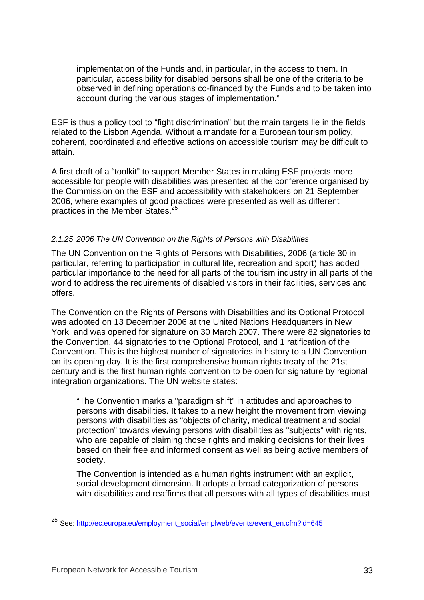implementation of the Funds and, in particular, in the access to them. In particular, accessibility for disabled persons shall be one of the criteria to be observed in defining operations co-financed by the Funds and to be taken into account during the various stages of implementation."

ESF is thus a policy tool to "fight discrimination" but the main targets lie in the fields related to the Lisbon Agenda. Without a mandate for a European tourism policy, coherent, coordinated and effective actions on accessible tourism may be difficult to attain.

A first draft of a "toolkit" to support Member States in making ESF projects more accessible for people with disabilities was presented at the conference organised by the Commission on the ESF and accessibility with stakeholders on 21 September 2006, where examples of good practices were presented as well as different practices in the Member States.<sup>25</sup>

#### *2.1.25 2006 The UN Convention on the Rights of Persons with Disabilities*

The UN Convention on the Rights of Persons with Disabilities, 2006 (article 30 in particular, referring to participation in cultural life, recreation and sport) has added particular importance to the need for all parts of the tourism industry in all parts of the world to address the requirements of disabled visitors in their facilities, services and offers.

The Convention on the Rights of Persons with Disabilities and its Optional Protocol was adopted on 13 December 2006 at the United Nations Headquarters in New York, and was opened for signature on 30 March 2007. There were 82 signatories to the Convention, 44 signatories to the Optional Protocol, and 1 ratification of the Convention. This is the highest number of signatories in history to a UN Convention on its opening day. It is the first comprehensive human rights treaty of the 21st century and is the first human rights convention to be open for signature by regional integration organizations. The UN website states:

"The Convention marks a "paradigm shift" in attitudes and approaches to persons with disabilities. It takes to a new height the movement from viewing persons with disabilities as "objects of charity, medical treatment and social protection" towards viewing persons with disabilities as "subjects" with rights, who are capable of claiming those rights and making decisions for their lives based on their free and informed consent as well as being active members of society.

The Convention is intended as a human rights instrument with an explicit, social development dimension. It adopts a broad categorization of persons with disabilities and reaffirms that all persons with all types of disabilities must

<sup>&</sup>lt;sup>25</sup> See: http://ec.europa.eu/employment\_social/emplweb/events/event\_en.cfm?id=645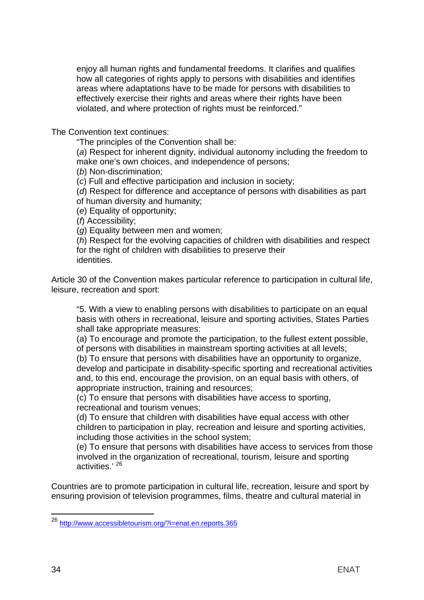enjoy all human rights and fundamental freedoms. It clarifies and qualifies how all categories of rights apply to persons with disabilities and identifies areas where adaptations have to be made for persons with disabilities to effectively exercise their rights and areas where their rights have been violated, and where protection of rights must be reinforced."

The Convention text continues:

"The principles of the Convention shall be:

(*a*) Respect for inherent dignity, individual autonomy including the freedom to make one's own choices, and independence of persons;

(*b*) Non-discrimination;

(*c*) Full and effective participation and inclusion in society;

(*d*) Respect for difference and acceptance of persons with disabilities as part of human diversity and humanity;

(*e*) Equality of opportunity;

(*f*) Accessibility;

(*g*) Equality between men and women;

(*h*) Respect for the evolving capacities of children with disabilities and respect for the right of children with disabilities to preserve their identities.

Article 30 of the Convention makes particular reference to participation in cultural life, leisure, recreation and sport:

"5. With a view to enabling persons with disabilities to participate on an equal basis with others in recreational, leisure and sporting activities, States Parties shall take appropriate measures:

(a) To encourage and promote the participation, to the fullest extent possible, of persons with disabilities in mainstream sporting activities at all levels;

(b) To ensure that persons with disabilities have an opportunity to organize, develop and participate in disability-specific sporting and recreational activities and, to this end, encourage the provision, on an equal basis with others, of appropriate instruction, training and resources;

(c) To ensure that persons with disabilities have access to sporting, recreational and tourism venues;

(d) To ensure that children with disabilities have equal access with other children to participation in play, recreation and leisure and sporting activities, including those activities in the school system;

(e) To ensure that persons with disabilities have access to services from those involved in the organization of recreational, tourism, leisure and sporting activities<sup>, 26</sup>

Countries are to promote participation in cultural life, recreation, leisure and sport by ensuring provision of television programmes, films, theatre and cultural material in

<sup>&</sup>lt;sup>26</sup> http://www.accessibletourism.org/?i=enat.en.reports.365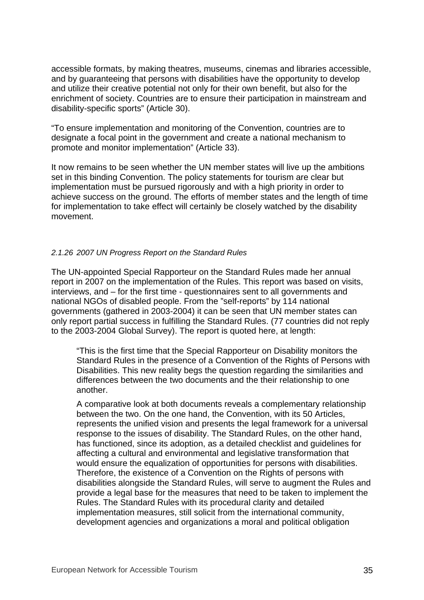accessible formats, by making theatres, museums, cinemas and libraries accessible, and by guaranteeing that persons with disabilities have the opportunity to develop and utilize their creative potential not only for their own benefit, but also for the enrichment of society. Countries are to ensure their participation in mainstream and disability-specific sports" (Article 30).

"To ensure implementation and monitoring of the Convention, countries are to designate a focal point in the government and create a national mechanism to promote and monitor implementation" (Article 33).

It now remains to be seen whether the UN member states will live up the ambitions set in this binding Convention. The policy statements for tourism are clear but implementation must be pursued rigorously and with a high priority in order to achieve success on the ground. The efforts of member states and the length of time for implementation to take effect will certainly be closely watched by the disability movement.

#### *2.1.26 2007 UN Progress Report on the Standard Rules*

The UN-appointed Special Rapporteur on the Standard Rules made her annual report in 2007 on the implementation of the Rules. This report was based on visits, interviews, and – for the first time - questionnaires sent to all governments and national NGOs of disabled people. From the "self-reports" by 114 national governments (gathered in 2003-2004) it can be seen that UN member states can only report partial success in fulfilling the Standard Rules. (77 countries did not reply to the 2003-2004 Global Survey). The report is quoted here, at length:

"This is the first time that the Special Rapporteur on Disability monitors the Standard Rules in the presence of a Convention of the Rights of Persons with Disabilities. This new reality begs the question regarding the similarities and differences between the two documents and the their relationship to one another.

A comparative look at both documents reveals a complementary relationship between the two. On the one hand, the Convention, with its 50 Articles, represents the unified vision and presents the legal framework for a universal response to the issues of disability. The Standard Rules, on the other hand, has functioned, since its adoption, as a detailed checklist and guidelines for affecting a cultural and environmental and legislative transformation that would ensure the equalization of opportunities for persons with disabilities. Therefore, the existence of a Convention on the Rights of persons with disabilities alongside the Standard Rules, will serve to augment the Rules and provide a legal base for the measures that need to be taken to implement the Rules. The Standard Rules with its procedural clarity and detailed implementation measures, still solicit from the international community, development agencies and organizations a moral and political obligation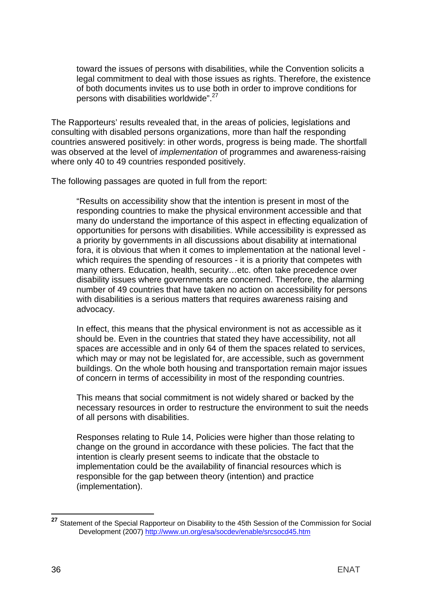toward the issues of persons with disabilities, while the Convention solicits a legal commitment to deal with those issues as rights. Therefore, the existence of both documents invites us to use both in order to improve conditions for persons with disabilities worldwide".27

The Rapporteurs' results revealed that, in the areas of policies, legislations and consulting with disabled persons organizations, more than half the responding countries answered positively: in other words, progress is being made. The shortfall was observed at the level of *implementation* of programmes and awareness-raising where only 40 to 49 countries responded positively.

The following passages are quoted in full from the report:

"Results on accessibility show that the intention is present in most of the responding countries to make the physical environment accessible and that many do understand the importance of this aspect in effecting equalization of opportunities for persons with disabilities. While accessibility is expressed as a priority by governments in all discussions about disability at international fora, it is obvious that when it comes to implementation at the national level which requires the spending of resources - it is a priority that competes with many others. Education, health, security…etc. often take precedence over disability issues where governments are concerned. Therefore, the alarming number of 49 countries that have taken no action on accessibility for persons with disabilities is a serious matters that requires awareness raising and advocacy.

In effect, this means that the physical environment is not as accessible as it should be. Even in the countries that stated they have accessibility, not all spaces are accessible and in only 64 of them the spaces related to services, which may or may not be legislated for, are accessible, such as government buildings. On the whole both housing and transportation remain major issues of concern in terms of accessibility in most of the responding countries.

This means that social commitment is not widely shared or backed by the necessary resources in order to restructure the environment to suit the needs of all persons with disabilities.

Responses relating to Rule 14, Policies were higher than those relating to change on the ground in accordance with these policies. The fact that the intention is clearly present seems to indicate that the obstacle to implementation could be the availability of financial resources which is responsible for the gap between theory (intention) and practice (implementation).

**<sup>27</sup>** Statement of the Special Rapporteur on Disability to the 45th Session of the Commission for Social Development (2007) http://www.un.org/esa/socdev/enable/srcsocd45.htm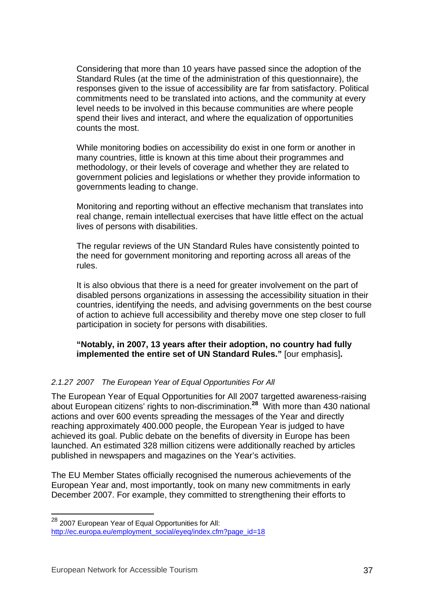Considering that more than 10 years have passed since the adoption of the Standard Rules (at the time of the administration of this questionnaire), the responses given to the issue of accessibility are far from satisfactory. Political commitments need to be translated into actions, and the community at every level needs to be involved in this because communities are where people spend their lives and interact, and where the equalization of opportunities counts the most.

While monitoring bodies on accessibility do exist in one form or another in many countries, little is known at this time about their programmes and methodology, or their levels of coverage and whether they are related to government policies and legislations or whether they provide information to governments leading to change.

Monitoring and reporting without an effective mechanism that translates into real change, remain intellectual exercises that have little effect on the actual lives of persons with disabilities.

The regular reviews of the UN Standard Rules have consistently pointed to the need for government monitoring and reporting across all areas of the rules.

It is also obvious that there is a need for greater involvement on the part of disabled persons organizations in assessing the accessibility situation in their countries, identifying the needs, and advising governments on the best course of action to achieve full accessibility and thereby move one step closer to full participation in society for persons with disabilities.

#### **"Notably, in 2007, 13 years after their adoption, no country had fully implemented the entire set of UN Standard Rules."** [our emphasis]**.**

#### *2.1.27 2007 The European Year of Equal Opportunities For All*

The European Year of Equal Opportunities for All 2007 targetted awareness-raising about European citizens' rights to non-discrimination.**<sup>28</sup>** With more than 430 national actions and over 600 events spreading the messages of the Year and directly reaching approximately 400.000 people, the European Year is judged to have achieved its goal. Public debate on the benefits of diversity in Europe has been launched. An estimated 328 million citizens were additionally reached by articles published in newspapers and magazines on the Year's activities.

The EU Member States officially recognised the numerous achievements of the European Year and, most importantly, took on many new commitments in early December 2007. For example, they committed to strengthening their efforts to

<sup>&</sup>lt;sup>28</sup> 2007 European Year of Equal Opportunities for All: http://ec.europa.eu/employment\_social/eyeq/index.cfm?page\_id=18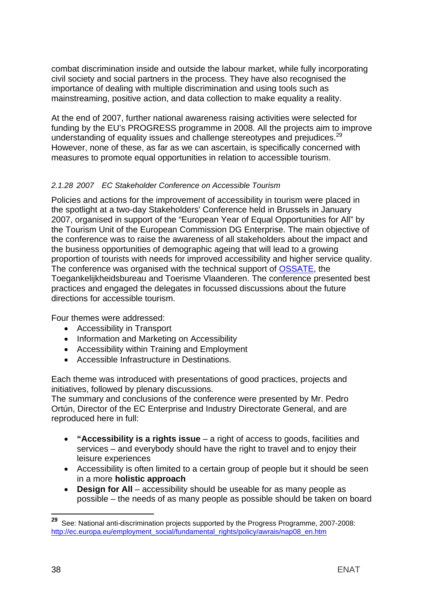combat discrimination inside and outside the labour market, while fully incorporating civil society and social partners in the process. They have also recognised the importance of dealing with multiple discrimination and using tools such as mainstreaming, positive action, and data collection to make equality a reality.

At the end of 2007, further national awareness raising activities were selected for funding by the EU's PROGRESS programme in 2008. All the projects aim to improve understanding of equality issues and challenge stereotypes and prejudices.<sup>29</sup> However, none of these, as far as we can ascertain, is specifically concerned with measures to promote equal opportunities in relation to accessible tourism.

#### *2.1.28 2007 EC Stakeholder Conference on Accessible Tourism*

Policies and actions for the improvement of accessibility in tourism were placed in the spotlight at a two-day Stakeholders' Conference held in Brussels in January 2007, organised in support of the "European Year of Equal Opportunities for All" by the Tourism Unit of the European Commission DG Enterprise. The main objective of the conference was to raise the awareness of all stakeholders about the impact and the business opportunities of demographic ageing that will lead to a growing proportion of tourists with needs for improved accessibility and higher service quality. The conference was organised with the technical support of OSSATE, the Toegankelijkheidsbureau and Toerisme Vlaanderen. The conference presented best practices and engaged the delegates in focussed discussions about the future directions for accessible tourism.

Four themes were addressed:

- Accessibility in Transport
- Information and Marketing on Accessibility
- Accessibility within Training and Employment
- Accessible Infrastructure in Destinations.

Each theme was introduced with presentations of good practices, projects and initiatives, followed by plenary discussions.

The summary and conclusions of the conference were presented by Mr. Pedro Ortún, Director of the EC Enterprise and Industry Directorate General, and are reproduced here in full:

- **"Accessibility is a rights issue**  a right of access to goods, facilities and services – and everybody should have the right to travel and to enjoy their leisure experiences
- Accessibility is often limited to a certain group of people but it should be seen in a more **holistic approach**
- **Design for All** accessibility should be useable for as many people as possible – the needs of as many people as possible should be taken on board

**<sup>29</sup>** See: National anti-discrimination projects supported by the Progress Programme, 2007-2008: http://ec.europa.eu/employment\_social/fundamental\_rights/policy/awrais/nap08\_en.htm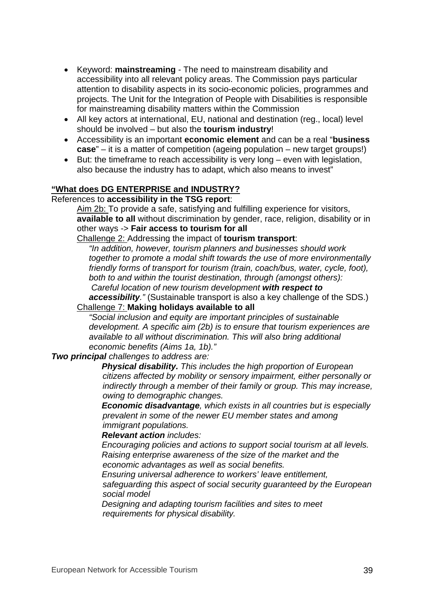- Keyword: **mainstreaming**  The need to mainstream disability and accessibility into all relevant policy areas. The Commission pays particular attention to disability aspects in its socio-economic policies, programmes and projects. The Unit for the Integration of People with Disabilities is responsible for mainstreaming disability matters within the Commission
- All key actors at international, EU, national and destination (reg., local) level should be involved – but also the **tourism industry**!
- Accessibility is an important **economic element** and can be a real "**business case**" – it is a matter of competition (ageing population – new target groups!)
- But: the timeframe to reach accessibility is very long even with legislation, also because the industry has to adapt, which also means to invest"

#### **"What does DG ENTERPRISE and INDUSTRY?**

#### References to **accessibility in the TSG report**:

Aim 2b: To provide a safe, satisfying and fulfilling experience for visitors, **available to all** without discrimination by gender, race, religion, disability or in other ways -> **Fair access to tourism for all** 

Challenge 2: Addressing the impact of **tourism transport**:

*"In addition, however, tourism planners and businesses should work together to promote a modal shift towards the use of more environmentally friendly forms of transport for tourism (train, coach/bus, water, cycle, foot), both to and within the tourist destination, through (amongst others): Careful location of new tourism development with respect to accessibility."* (Sustainable transport is also a key challenge of the SDS.)

Challenge 7: **Making holidays available to all** 

*"Social inclusion and equity are important principles of sustainable development. A specific aim (2b) is to ensure that tourism experiences are available to all without discrimination. This will also bring additional economic benefits (Aims 1a, 1b)."* 

#### *Two principal challenges to address are:*

*Physical disability. This includes the high proportion of European citizens affected by mobility or sensory impairment, either personally or indirectly through a member of their family or group. This may increase, owing to demographic changes.* 

*Economic disadvantage, which exists in all countries but is especially prevalent in some of the newer EU member states and among immigrant populations.* 

#### *Relevant action includes:*

*Encouraging policies and actions to support social tourism at all levels. Raising enterprise awareness of the size of the market and the economic advantages as well as social benefits.* 

*Ensuring universal adherence to workers' leave entitlement, safeguarding this aspect of social security guaranteed by the European social model* 

*Designing and adapting tourism facilities and sites to meet requirements for physical disability.*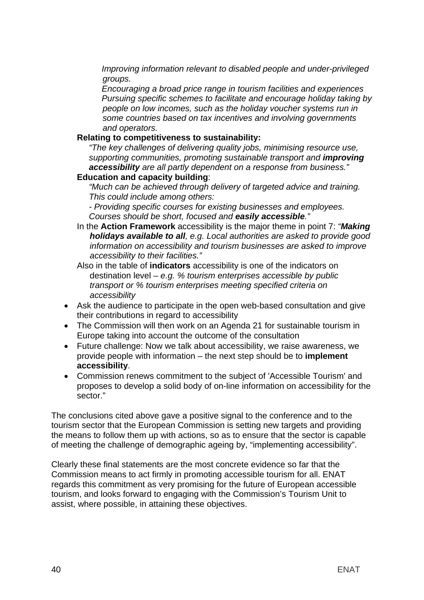*Improving information relevant to disabled people and under-privileged groups.* 

*Encouraging a broad price range in tourism facilities and experiences Pursuing specific schemes to facilitate and encourage holiday taking by people on low incomes, such as the holiday voucher systems run in some countries based on tax incentives and involving governments and operators.* 

#### **Relating to competitiveness to sustainability:**

*"The key challenges of delivering quality jobs, minimising resource use, supporting communities, promoting sustainable transport and improving accessibility are all partly dependent on a response from business."* 

#### **Education and capacity building**:

*"Much can be achieved through delivery of targeted advice and training. This could include among others:* 

*- Providing specific courses for existing businesses and employees. Courses should be short, focused and easily accessible."* 

- In the **Action Framework** accessibility is the major theme in point 7: *"Making holidays available to all, e.g. Local authorities are asked to provide good information on accessibility and tourism businesses are asked to improve accessibility to their facilities."*
- Also in the table of **indicators** accessibility is one of the indicators on destination level – *e.g. % tourism enterprises accessible by public transport or % tourism enterprises meeting specified criteria on accessibility*
- Ask the audience to participate in the open web-based consultation and give their contributions in regard to accessibility
- The Commission will then work on an Agenda 21 for sustainable tourism in Europe taking into account the outcome of the consultation
- Future challenge: Now we talk about accessibility, we raise awareness, we provide people with information – the next step should be to **implement accessibility**.
- Commission renews commitment to the subject of 'Accessible Tourism' and proposes to develop a solid body of on-line information on accessibility for the sector."

The conclusions cited above gave a positive signal to the conference and to the tourism sector that the European Commission is setting new targets and providing the means to follow them up with actions, so as to ensure that the sector is capable of meeting the challenge of demographic ageing by, "implementing accessibility".

Clearly these final statements are the most concrete evidence so far that the Commission means to act firmly in promoting accessible tourism for all. ENAT regards this commitment as very promising for the future of European accessible tourism, and looks forward to engaging with the Commission's Tourism Unit to assist, where possible, in attaining these objectives.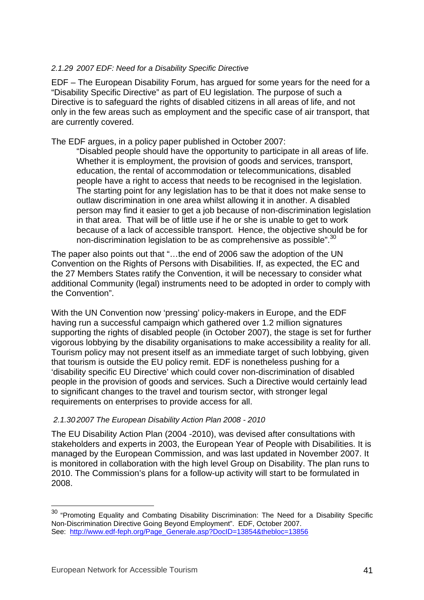#### *2.1.29 2007 EDF: Need for a Disability Specific Directive*

EDF – The European Disability Forum, has argued for some years for the need for a "Disability Specific Directive" as part of EU legislation. The purpose of such a Directive is to safeguard the rights of disabled citizens in all areas of life, and not only in the few areas such as employment and the specific case of air transport, that are currently covered.

The EDF argues, in a policy paper published in October 2007:

"Disabled people should have the opportunity to participate in all areas of life. Whether it is employment, the provision of goods and services, transport, education, the rental of accommodation or telecommunications, disabled people have a right to access that needs to be recognised in the legislation. The starting point for any legislation has to be that it does not make sense to outlaw discrimination in one area whilst allowing it in another. A disabled person may find it easier to get a job because of non-discrimination legislation in that area. That will be of little use if he or she is unable to get to work because of a lack of accessible transport. Hence, the objective should be for non-discrimination legislation to be as comprehensive as possible".30

The paper also points out that "…the end of 2006 saw the adoption of the UN Convention on the Rights of Persons with Disabilities. If, as expected, the EC and the 27 Members States ratify the Convention, it will be necessary to consider what additional Community (legal) instruments need to be adopted in order to comply with the Convention".

With the UN Convention now 'pressing' policy-makers in Europe, and the EDF having run a successful campaign which gathered over 1.2 million signatures supporting the rights of disabled people (in October 2007), the stage is set for further vigorous lobbying by the disability organisations to make accessibility a reality for all. Tourism policy may not present itself as an immediate target of such lobbying, given that tourism is outside the EU policy remit. EDF is nonetheless pushing for a 'disability specific EU Directive' which could cover non-discrimination of disabled people in the provision of goods and services. Such a Directive would certainly lead to significant changes to the travel and tourism sector, with stronger legal requirements on enterprises to provide access for all.

#### *2.1.30 2007 The European Disability Action Plan 2008 - 2010*

The EU Disability Action Plan (2004 -2010), was devised after consultations with stakeholders and experts in 2003, the European Year of People with Disabilities. It is managed by the European Commission, and was last updated in November 2007. It is monitored in collaboration with the high level Group on Disability. The plan runs to 2010. The Commission's plans for a follow-up activity will start to be formulated in 2008.

 $30$  "Promoting Equality and Combating Disability Discrimination: The Need for a Disability Specific Non-Discrimination Directive Going Beyond Employment". EDF, October 2007. See: http://www.edf-feph.org/Page\_Generale.asp?DocID=13854&thebloc=13856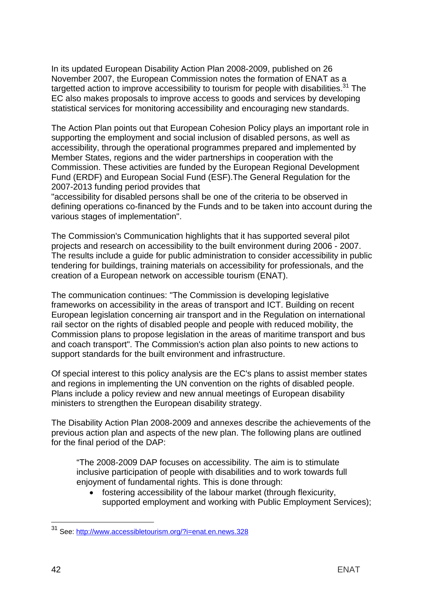In its updated European Disability Action Plan 2008-2009, published on 26 November 2007, the European Commission notes the formation of ENAT as a targetted action to improve accessibility to tourism for people with disabilities. $31$  The EC also makes proposals to improve access to goods and services by developing statistical services for monitoring accessibility and encouraging new standards.

The Action Plan points out that European Cohesion Policy plays an important role in supporting the employment and social inclusion of disabled persons, as well as accessibility, through the operational programmes prepared and implemented by Member States, regions and the wider partnerships in cooperation with the Commission. These activities are funded by the European Regional Development Fund (ERDF) and European Social Fund (ESF).The General Regulation for the 2007-2013 funding period provides that

"accessibility for disabled persons shall be one of the criteria to be observed in defining operations co-financed by the Funds and to be taken into account during the various stages of implementation".

The Commission's Communication highlights that it has supported several pilot projects and research on accessibility to the built environment during 2006 - 2007. The results include a guide for public administration to consider accessibility in public tendering for buildings, training materials on accessibility for professionals, and the creation of a European network on accessible tourism (ENAT).

The communication continues: "The Commission is developing legislative frameworks on accessibility in the areas of transport and ICT. Building on recent European legislation concerning air transport and in the Regulation on international rail sector on the rights of disabled people and people with reduced mobility, the Commission plans to propose legislation in the areas of maritime transport and bus and coach transport". The Commission's action plan also points to new actions to support standards for the built environment and infrastructure.

Of special interest to this policy analysis are the EC's plans to assist member states and regions in implementing the UN convention on the rights of disabled people. Plans include a policy review and new annual meetings of European disability ministers to strengthen the European disability strategy.

The Disability Action Plan 2008-2009 and annexes describe the achievements of the previous action plan and aspects of the new plan. The following plans are outlined for the final period of the DAP:

"The 2008-2009 DAP focuses on accessibility. The aim is to stimulate inclusive participation of people with disabilities and to work towards full enjoyment of fundamental rights. This is done through:

• fostering accessibility of the labour market (through flexicurity, supported employment and working with Public Employment Services);

<sup>&</sup>lt;sup>31</sup> See: http://www.accessibletourism.org/?i=enat.en.news.328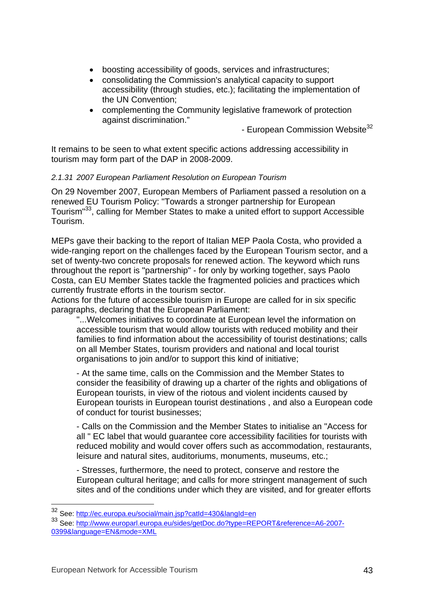- boosting accessibility of goods, services and infrastructures;
- consolidating the Commission's analytical capacity to support accessibility (through studies, etc.); facilitating the implementation of the UN Convention;
- complementing the Community legislative framework of protection against discrimination."

- European Commission Website $32$ 

It remains to be seen to what extent specific actions addressing accessibility in tourism may form part of the DAP in 2008-2009.

#### *2.1.31 2007 European Parliament Resolution on European Tourism*

On 29 November 2007, European Members of Parliament passed a resolution on a renewed EU Tourism Policy: "Towards a stronger partnership for European Tourism"33, calling for Member States to make a united effort to support Accessible Tourism.

MEPs gave their backing to the report of Italian MEP Paola Costa, who provided a wide-ranging report on the challenges faced by the European Tourism sector, and a set of twenty-two concrete proposals for renewed action. The keyword which runs throughout the report is "partnership" - for only by working together, says Paolo Costa, can EU Member States tackle the fragmented policies and practices which currently frustrate efforts in the tourism sector.

Actions for the future of accessible tourism in Europe are called for in six specific paragraphs, declaring that the European Parliament:

"...Welcomes initiatives to coordinate at European level the information on accessible tourism that would allow tourists with reduced mobility and their families to find information about the accessibility of tourist destinations; calls on all Member States, tourism providers and national and local tourist organisations to join and/or to support this kind of initiative;

- At the same time, calls on the Commission and the Member States to consider the feasibility of drawing up a charter of the rights and obligations of European tourists, in view of the riotous and violent incidents caused by European tourists in European tourist destinations , and also a European code of conduct for tourist businesses;

- Calls on the Commission and the Member States to initialise an "Access for all " EC label that would guarantee core accessibility facilities for tourists with reduced mobility and would cover offers such as accommodation, restaurants, leisure and natural sites, auditoriums, monuments, museums, etc.;

- Stresses, furthermore, the need to protect, conserve and restore the European cultural heritage; and calls for more stringent management of such sites and of the conditions under which they are visited, and for greater efforts

<sup>32</sup> See: http://ec.europa.eu/social/main.jsp?catId=430&langId=en

<sup>33</sup> See: http://www.europarl.europa.eu/sides/getDoc.do?type=REPORT&reference=A6-2007-0399&language=EN&mode=XML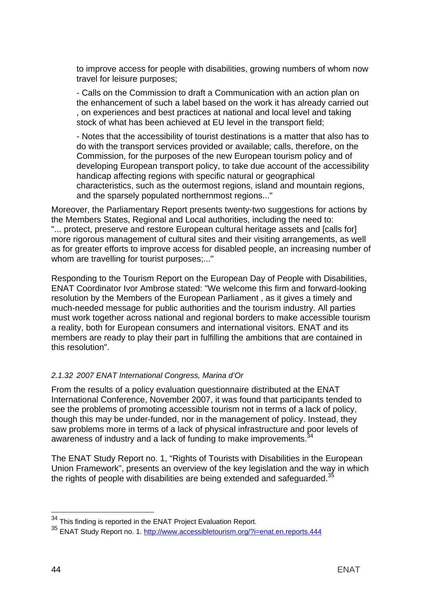to improve access for people with disabilities, growing numbers of whom now travel for leisure purposes;

- Calls on the Commission to draft a Communication with an action plan on the enhancement of such a label based on the work it has already carried out , on experiences and best practices at national and local level and taking stock of what has been achieved at EU level in the transport field;

- Notes that the accessibility of tourist destinations is a matter that also has to do with the transport services provided or available; calls, therefore, on the Commission, for the purposes of the new European tourism policy and of developing European transport policy, to take due account of the accessibility handicap affecting regions with specific natural or geographical characteristics, such as the outermost regions, island and mountain regions, and the sparsely populated northernmost regions..."

Moreover, the Parliamentary Report presents twenty-two suggestions for actions by the Members States, Regional and Local authorities, including the need to: "... protect, preserve and restore European cultural heritage assets and [calls for] more rigorous management of cultural sites and their visiting arrangements, as well as for greater efforts to improve access for disabled people, an increasing number of whom are travelling for tourist purposes;..."

Responding to the Tourism Report on the European Day of People with Disabilities, ENAT Coordinator Ivor Ambrose stated: "We welcome this firm and forward-looking resolution by the Members of the European Parliament , as it gives a timely and much-needed message for public authorities and the tourism industry. All parties must work together across national and regional borders to make accessible tourism a reality, both for European consumers and international visitors. ENAT and its members are ready to play their part in fulfilling the ambitions that are contained in this resolution".

#### *2.1.32 2007 ENAT International Congress, Marina d'Or*

From the results of a policy evaluation questionnaire distributed at the ENAT International Conference, November 2007, it was found that participants tended to see the problems of promoting accessible tourism not in terms of a lack of policy, though this may be under-funded, nor in the management of policy. Instead, they saw problems more in terms of a lack of physical infrastructure and poor levels of awareness of industry and a lack of funding to make improvements.<sup>3</sup>

The ENAT Study Report no. 1, "Rights of Tourists with Disabilities in the European Union Framework", presents an overview of the key legislation and the way in which the rights of people with disabilities are being extended and safeguarded. $35$ 

 $34$  This finding is reported in the ENAT Project Evaluation Report.

<sup>35</sup> ENAT Study Report no. 1. http://www.accessibletourism.org/?i=enat.en.reports.444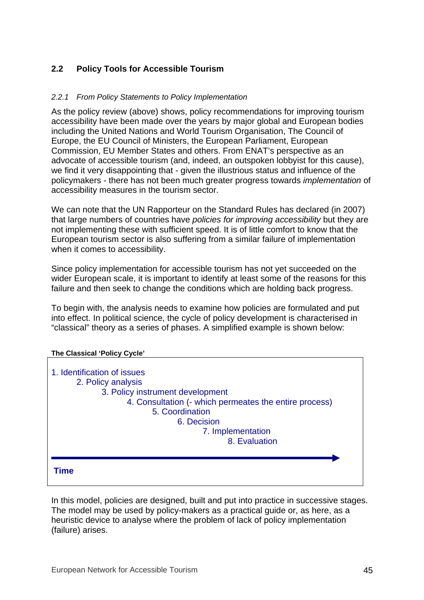### **2.2 Policy Tools for Accessible Tourism**

#### *2.2.1 From Policy Statements to Policy Implementation*

As the policy review (above) shows, policy recommendations for improving tourism accessibility have been made over the years by major global and European bodies including the United Nations and World Tourism Organisation, The Council of Europe, the EU Council of Ministers, the European Parliament, European Commission, EU Member States and others. From ENAT's perspective as an advocate of accessible tourism (and, indeed, an outspoken lobbyist for this cause), we find it very disappointing that - given the illustrious status and influence of the policymakers - there has not been much greater progress towards *implementation* of accessibility measures in the tourism sector.

We can note that the UN Rapporteur on the Standard Rules has declared (in 2007) that large numbers of countries have *policies for improving accessibility* but they are not implementing these with sufficient speed. It is of little comfort to know that the European tourism sector is also suffering from a similar failure of implementation when it comes to accessibility.

Since policy implementation for accessible tourism has not yet succeeded on the wider European scale, it is important to identify at least some of the reasons for this failure and then seek to change the conditions which are holding back progress.

To begin with, the analysis needs to examine how policies are formulated and put into effect. In political science, the cycle of policy development is characterised in "classical" theory as a series of phases. A simplified example is shown below:

#### **The Classical 'Policy Cycle'**

| 1. Identification of issues<br>2. Policy analysis<br>3. Policy instrument development<br>4. Consultation (- which permeates the entire process)<br>5. Coordination<br>6. Decision |  |
|-----------------------------------------------------------------------------------------------------------------------------------------------------------------------------------|--|
| 7. Implementation                                                                                                                                                                 |  |
| 8. Evaluation                                                                                                                                                                     |  |
| <b>Time</b>                                                                                                                                                                       |  |

In this model, policies are designed, built and put into practice in successive stages. The model may be used by policy-makers as a practical guide or, as here, as a heuristic device to analyse where the problem of lack of policy implementation (failure) arises.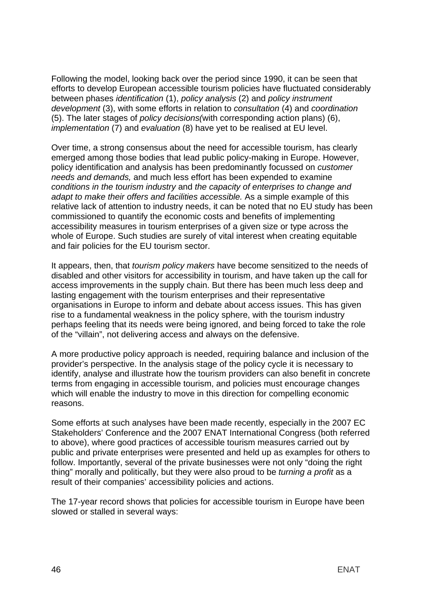Following the model, looking back over the period since 1990, it can be seen that efforts to develop European accessible tourism policies have fluctuated considerably between phases *identification* (1), *policy analysis* (2) and *policy instrument development* (3), with some efforts in relation to *consultation* (4) and *coordination* (5). The later stages of *policy decisions(*with corresponding action plans) (6), *implementation* (7) and *evaluation* (8) have yet to be realised at EU level.

Over time, a strong consensus about the need for accessible tourism, has clearly emerged among those bodies that lead public policy-making in Europe. However, policy identification and analysis has been predominantly focussed on *customer needs and demands,* and much less effort has been expended to examine *conditions in the tourism industry* and *the capacity of enterprises to change and adapt to make their offers and facilities accessible.* As a simple example of this relative lack of attention to industry needs, it can be noted that no EU study has been commissioned to quantify the economic costs and benefits of implementing accessibility measures in tourism enterprises of a given size or type across the whole of Europe. Such studies are surely of vital interest when creating equitable and fair policies for the EU tourism sector.

It appears, then, that *tourism policy makers* have become sensitized to the needs of disabled and other visitors for accessibility in tourism, and have taken up the call for access improvements in the supply chain. But there has been much less deep and lasting engagement with the tourism enterprises and their representative organisations in Europe to inform and debate about access issues. This has given rise to a fundamental weakness in the policy sphere, with the tourism industry perhaps feeling that its needs were being ignored, and being forced to take the role of the "villain", not delivering access and always on the defensive.

A more productive policy approach is needed, requiring balance and inclusion of the provider's perspective. In the analysis stage of the policy cycle it is necessary to identify, analyse and illustrate how the tourism providers can also benefit in concrete terms from engaging in accessible tourism, and policies must encourage changes which will enable the industry to move in this direction for compelling economic reasons.

Some efforts at such analyses have been made recently, especially in the 2007 EC Stakeholders' Conference and the 2007 ENAT International Congress (both referred to above), where good practices of accessible tourism measures carried out by public and private enterprises were presented and held up as examples for others to follow. Importantly, several of the private businesses were not only "doing the right thing" morally and politically, but they were also proud to be *turning a profit* as a result of their companies' accessibility policies and actions.

The 17-year record shows that policies for accessible tourism in Europe have been slowed or stalled in several ways: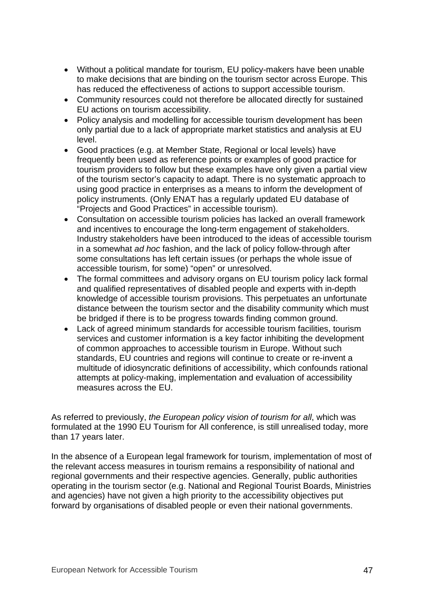- Without a political mandate for tourism, EU policy-makers have been unable to make decisions that are binding on the tourism sector across Europe. This has reduced the effectiveness of actions to support accessible tourism.
- Community resources could not therefore be allocated directly for sustained EU actions on tourism accessibility.
- Policy analysis and modelling for accessible tourism development has been only partial due to a lack of appropriate market statistics and analysis at EU level.
- Good practices (e.g. at Member State, Regional or local levels) have frequently been used as reference points or examples of good practice for tourism providers to follow but these examples have only given a partial view of the tourism sector's capacity to adapt. There is no systematic approach to using good practice in enterprises as a means to inform the development of policy instruments. (Only ENAT has a regularly updated EU database of "Projects and Good Practices" in accessible tourism).
- Consultation on accessible tourism policies has lacked an overall framework and incentives to encourage the long-term engagement of stakeholders. Industry stakeholders have been introduced to the ideas of accessible tourism in a somewhat *ad hoc* fashion, and the lack of policy follow-through after some consultations has left certain issues (or perhaps the whole issue of accessible tourism, for some) "open" or unresolved.
- The formal committees and advisory organs on EU tourism policy lack formal and qualified representatives of disabled people and experts with in-depth knowledge of accessible tourism provisions. This perpetuates an unfortunate distance between the tourism sector and the disability community which must be bridged if there is to be progress towards finding common ground.
- Lack of agreed minimum standards for accessible tourism facilities, tourism services and customer information is a key factor inhibiting the development of common approaches to accessible tourism in Europe. Without such standards, EU countries and regions will continue to create or re-invent a multitude of idiosyncratic definitions of accessibility, which confounds rational attempts at policy-making, implementation and evaluation of accessibility measures across the EU.

As referred to previously, *the European policy vision of tourism for all*, which was formulated at the 1990 EU Tourism for All conference, is still unrealised today, more than 17 years later.

In the absence of a European legal framework for tourism, implementation of most of the relevant access measures in tourism remains a responsibility of national and regional governments and their respective agencies. Generally, public authorities operating in the tourism sector (e.g. National and Regional Tourist Boards, Ministries and agencies) have not given a high priority to the accessibility objectives put forward by organisations of disabled people or even their national governments.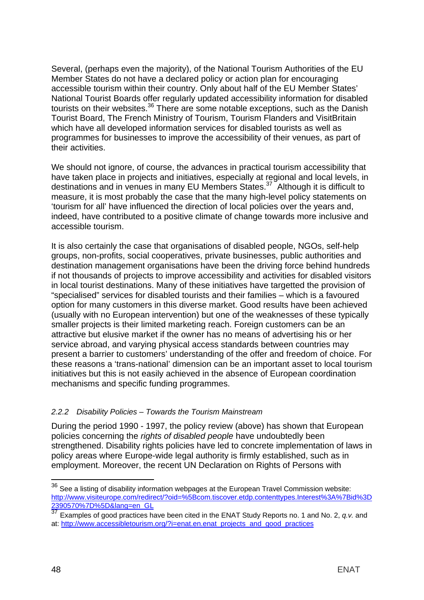Several, (perhaps even the majority), of the National Tourism Authorities of the EU Member States do not have a declared policy or action plan for encouraging accessible tourism within their country. Only about half of the EU Member States' National Tourist Boards offer regularly updated accessibility information for disabled tourists on their websites.<sup>36</sup> There are some notable exceptions, such as the Danish Tourist Board, The French Ministry of Tourism, Tourism Flanders and VisitBritain which have all developed information services for disabled tourists as well as programmes for businesses to improve the accessibility of their venues, as part of their activities.

We should not ignore, of course, the advances in practical tourism accessibility that have taken place in projects and initiatives, especially at regional and local levels, in destinations and in venues in many EU Members States.37 Although it is difficult to measure, it is most probably the case that the many high-level policy statements on 'tourism for all' have influenced the direction of local policies over the years and, indeed, have contributed to a positive climate of change towards more inclusive and accessible tourism.

It is also certainly the case that organisations of disabled people, NGOs, self-help groups, non-profits, social cooperatives, private businesses, public authorities and destination management organisations have been the driving force behind hundreds if not thousands of projects to improve accessibility and activities for disabled visitors in local tourist destinations. Many of these initiatives have targetted the provision of "specialised" services for disabled tourists and their families – which is a favoured option for many customers in this diverse market. Good results have been achieved (usually with no European intervention) but one of the weaknesses of these typically smaller projects is their limited marketing reach. Foreign customers can be an attractive but elusive market if the owner has no means of advertising his or her service abroad, and varying physical access standards between countries may present a barrier to customers' understanding of the offer and freedom of choice. For these reasons a 'trans-national' dimension can be an important asset to local tourism initiatives but this is not easily achieved in the absence of European coordination mechanisms and specific funding programmes.

#### *2.2.2 Disability Policies – Towards the Tourism Mainstream*

During the period 1990 - 1997, the policy review (above) has shown that European policies concerning the *rights of disabled people* have undoubtedly been strengthened. Disability rights policies have led to concrete implementation of laws in policy areas where Europe-wide legal authority is firmly established, such as in employment. Moreover, the recent UN Declaration on Rights of Persons with

 $36$  See a listing of disability information webpages at the European Travel Commission website: http://www.visiteurope.com/redirect/?oid=%5Bcom.tiscover.etdp.contenttypes.Interest%3A%7Bid%3D<br>2390570%7D%5D&lang=en\_GL<br><sup>37</sup> Examples of good proctices beig been attack the Filter of the Filter of the Filter

Examples of good practices have been cited in the ENAT Study Reports no. 1 and No. 2, *q.v.* and at: http://www.accessibletourism.org/?i=enat.en.enat\_projects\_and\_good\_practices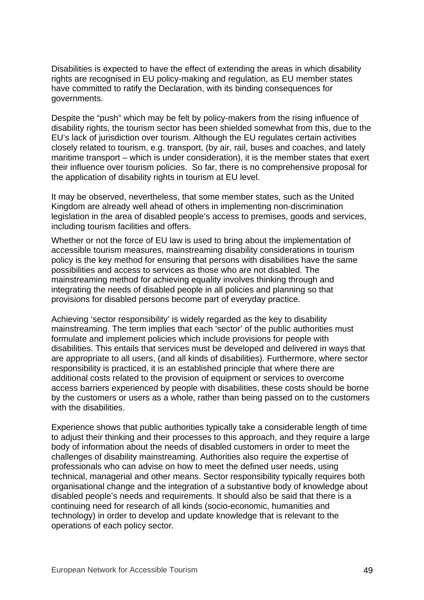Disabilities is expected to have the effect of extending the areas in which disability rights are recognised in EU policy-making and regulation, as EU member states have committed to ratify the Declaration, with its binding consequences for governments.

Despite the "push" which may be felt by policy-makers from the rising influence of disability rights, the tourism sector has been shielded somewhat from this, due to the EU's lack of jurisdiction over tourism. Although the EU regulates certain activities closely related to tourism, e.g. transport, (by air, rail, buses and coaches, and lately maritime transport – which is under consideration), it is the member states that exert their influence over tourism policies. So far, there is no comprehensive proposal for the application of disability rights in tourism at EU level.

It may be observed, nevertheless, that some member states, such as the United Kingdom are already well ahead of others in implementing non-discrimination legislation in the area of disabled people's access to premises, goods and services, including tourism facilities and offers.

Whether or not the force of EU law is used to bring about the implementation of accessible tourism measures, mainstreaming disability considerations in tourism policy is the key method for ensuring that persons with disabilities have the same possibilities and access to services as those who are not disabled. The mainstreaming method for achieving equality involves thinking through and integrating the needs of disabled people in all policies and planning so that provisions for disabled persons become part of everyday practice.

Achieving 'sector responsibility' is widely regarded as the key to disability mainstreaming. The term implies that each 'sector' of the public authorities must formulate and implement policies which include provisions for people with disabilities. This entails that services must be developed and delivered in ways that are appropriate to all users, (and all kinds of disabilities). Furthermore, where sector responsibility is practiced, it is an established principle that where there are additional costs related to the provision of equipment or services to overcome access barriers experienced by people with disabilities, these costs should be borne by the customers or users as a whole, rather than being passed on to the customers with the disabilities.

Experience shows that public authorities typically take a considerable length of time to adjust their thinking and their processes to this approach, and they require a large body of information about the needs of disabled customers in order to meet the challenges of disability mainstreaming. Authorities also require the expertise of professionals who can advise on how to meet the defined user needs, using technical, managerial and other means. Sector responsibility typically requires both organisational change and the integration of a substantive body of knowledge about disabled people's needs and requirements. It should also be said that there is a continuing need for research of all kinds (socio-economic, humanities and technology) in order to develop and update knowledge that is relevant to the operations of each policy sector.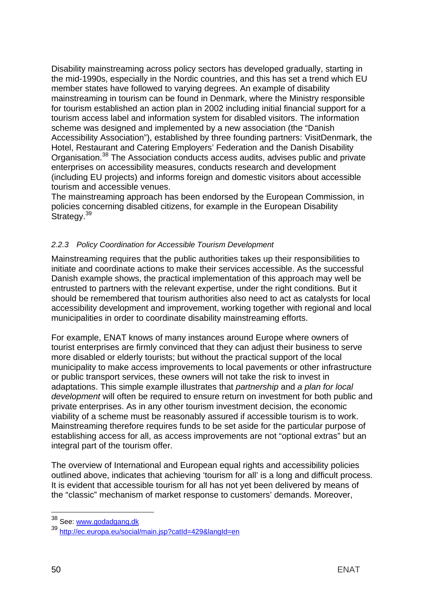Disability mainstreaming across policy sectors has developed gradually, starting in the mid-1990s, especially in the Nordic countries, and this has set a trend which EU member states have followed to varying degrees. An example of disability mainstreaming in tourism can be found in Denmark, where the Ministry responsible for tourism established an action plan in 2002 including initial financial support for a tourism access label and information system for disabled visitors. The information scheme was designed and implemented by a new association (the "Danish Accessibility Association"), established by three founding partners: VisitDenmark, the Hotel, Restaurant and Catering Employers' Federation and the Danish Disability Organisation.38 The Association conducts access audits, advises public and private enterprises on accessibility measures, conducts research and development (including EU projects) and informs foreign and domestic visitors about accessible tourism and accessible venues.

The mainstreaming approach has been endorsed by the European Commission, in policies concerning disabled citizens, for example in the European Disability Strategy.<sup>39</sup>

#### *2.2.3 Policy Coordination for Accessible Tourism Development*

Mainstreaming requires that the public authorities takes up their responsibilities to initiate and coordinate actions to make their services accessible. As the successful Danish example shows, the practical implementation of this approach may well be entrusted to partners with the relevant expertise, under the right conditions. But it should be remembered that tourism authorities also need to act as catalysts for local accessibility development and improvement, working together with regional and local municipalities in order to coordinate disability mainstreaming efforts.

For example, ENAT knows of many instances around Europe where owners of tourist enterprises are firmly convinced that they can adjust their business to serve more disabled or elderly tourists; but without the practical support of the local municipality to make access improvements to local pavements or other infrastructure or public transport services, these owners will not take the risk to invest in adaptations. This simple example illustrates that *partnership* and *a plan for local development* will often be required to ensure return on investment for both public and private enterprises. As in any other tourism investment decision, the economic viability of a scheme must be reasonably assured if accessible tourism is to work. Mainstreaming therefore requires funds to be set aside for the particular purpose of establishing access for all, as access improvements are not "optional extras" but an integral part of the tourism offer.

The overview of International and European equal rights and accessibility policies outlined above, indicates that achieving 'tourism for all' is a long and difficult process. It is evident that accessible tourism for all has not yet been delivered by means of the "classic" mechanism of market response to customers' demands. Moreover,

<sup>&</sup>lt;sup>38</sup> See: www.godadgang.dk

<sup>39</sup> http://ec.europa.eu/social/main.jsp?catId=429&langId=en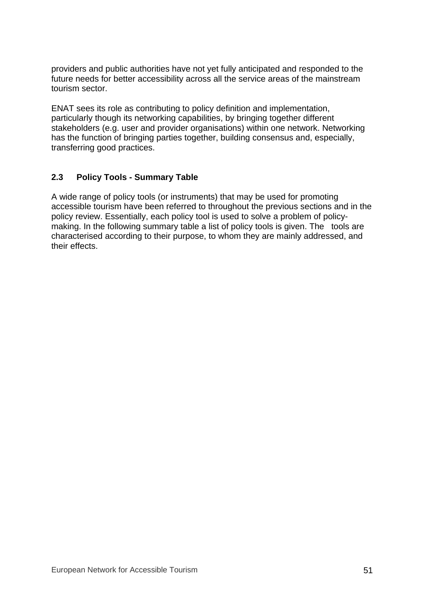providers and public authorities have not yet fully anticipated and responded to the future needs for better accessibility across all the service areas of the mainstream tourism sector.

ENAT sees its role as contributing to policy definition and implementation, particularly though its networking capabilities, by bringing together different stakeholders (e.g. user and provider organisations) within one network. Networking has the function of bringing parties together, building consensus and, especially, transferring good practices.

#### **2.3 Policy Tools - Summary Table**

A wide range of policy tools (or instruments) that may be used for promoting accessible tourism have been referred to throughout the previous sections and in the policy review. Essentially, each policy tool is used to solve a problem of policymaking. In the following summary table a list of policy tools is given. The tools are characterised according to their purpose, to whom they are mainly addressed, and their effects.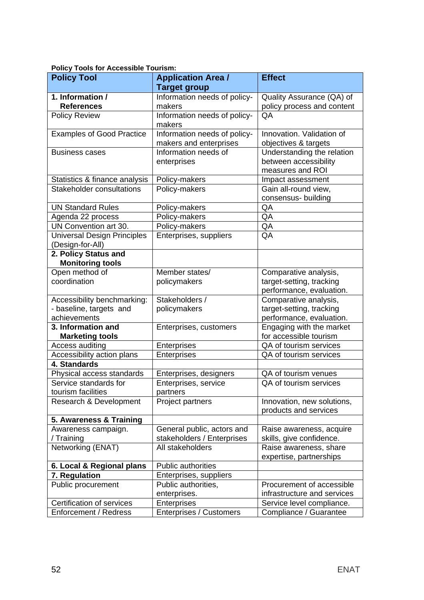|  | <b>Policy Tools for Accessible Tourism:</b> |  |
|--|---------------------------------------------|--|
|  |                                             |  |

| <b>Policy Tool</b>                      | <b>Application Area /</b>              | <b>Effect</b>                                      |
|-----------------------------------------|----------------------------------------|----------------------------------------------------|
|                                         | <b>Target group</b>                    |                                                    |
| 1. Information /                        | Information needs of policy-           | Quality Assurance (QA) of                          |
| <b>References</b>                       | makers                                 | policy process and content                         |
| <b>Policy Review</b>                    | Information needs of policy-<br>makers | QA                                                 |
| <b>Examples of Good Practice</b>        | Information needs of policy-           | Innovation. Validation of                          |
|                                         | makers and enterprises                 | objectives & targets                               |
| <b>Business cases</b>                   | Information needs of                   | Understanding the relation                         |
|                                         | enterprises                            | between accessibility                              |
|                                         |                                        | measures and ROI                                   |
| Statistics & finance analysis           | Policy-makers                          | Impact assessment                                  |
| <b>Stakeholder consultations</b>        | Policy-makers                          | Gain all-round view,                               |
|                                         |                                        | consensus- building                                |
| <b>UN Standard Rules</b>                | Policy-makers                          | QA                                                 |
| Agenda 22 process                       | Policy-makers                          | QA                                                 |
| UN Convention art 30.                   | Policy-makers                          | QA                                                 |
| <b>Universal Design Principles</b>      | Enterprises, suppliers                 | QA                                                 |
| (Design-for-All)                        |                                        |                                                    |
| 2. Policy Status and                    |                                        |                                                    |
| <b>Monitoring tools</b>                 |                                        |                                                    |
| Open method of                          | Member states/                         | Comparative analysis,                              |
| coordination                            | policymakers                           | target-setting, tracking                           |
|                                         | Stakeholders /                         | performance, evaluation.                           |
| Accessibility benchmarking:             |                                        | Comparative analysis,                              |
| - baseline, targets and<br>achievements | policymakers                           | target-setting, tracking                           |
| 3. Information and                      |                                        | performance, evaluation.                           |
| <b>Marketing tools</b>                  | Enterprises, customers                 | Engaging with the market<br>for accessible tourism |
| Access auditing                         | Enterprises                            | QA of tourism services                             |
| Accessibility action plans              | Enterprises                            | QA of tourism services                             |
| 4. Standards                            |                                        |                                                    |
| Physical access standards               | Enterprises, designers                 | QA of tourism venues                               |
| Service standards for                   | Enterprises, service                   | QA of tourism services                             |
| tourism facilities                      |                                        |                                                    |
| Research & Development                  | partners<br>Project partners           | Innovation, new solutions,                         |
|                                         |                                        | products and services                              |
| 5. Awareness & Training                 |                                        |                                                    |
| Awareness campaign.                     | General public, actors and             | Raise awareness, acquire                           |
| / Training                              | stakeholders / Enterprises             | skills, give confidence.                           |
| Networking (ENAT)                       | All stakeholders                       | Raise awareness, share                             |
|                                         |                                        | expertise, partnerships                            |
| 6. Local & Regional plans               | Public authorities                     |                                                    |
| 7. Regulation                           | Enterprises, suppliers                 |                                                    |
| Public procurement                      | Public authorities,                    | Procurement of accessible                          |
|                                         | enterprises.                           | infrastructure and services                        |
| Certification of services               | Enterprises                            | Service level compliance.                          |
| Enforcement / Redress                   | Enterprises / Customers                | Compliance / Guarantee                             |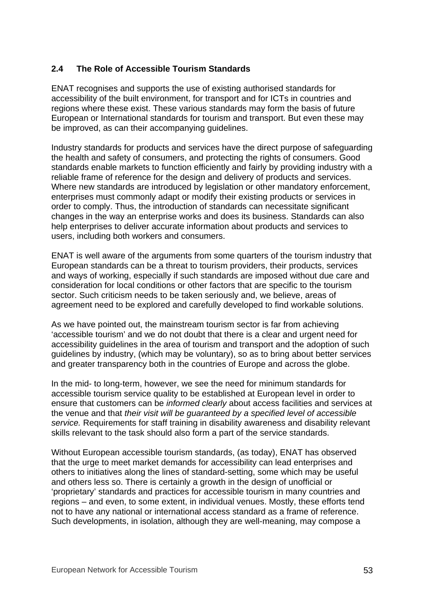#### **2.4 The Role of Accessible Tourism Standards**

ENAT recognises and supports the use of existing authorised standards for accessibility of the built environment, for transport and for ICTs in countries and regions where these exist. These various standards may form the basis of future European or International standards for tourism and transport. But even these may be improved, as can their accompanying guidelines.

Industry standards for products and services have the direct purpose of safeguarding the health and safety of consumers, and protecting the rights of consumers. Good standards enable markets to function efficiently and fairly by providing industry with a reliable frame of reference for the design and delivery of products and services. Where new standards are introduced by legislation or other mandatory enforcement, enterprises must commonly adapt or modify their existing products or services in order to comply. Thus, the introduction of standards can necessitate significant changes in the way an enterprise works and does its business. Standards can also help enterprises to deliver accurate information about products and services to users, including both workers and consumers.

ENAT is well aware of the arguments from some quarters of the tourism industry that European standards can be a threat to tourism providers, their products, services and ways of working, especially if such standards are imposed without due care and consideration for local conditions or other factors that are specific to the tourism sector. Such criticism needs to be taken seriously and, we believe, areas of agreement need to be explored and carefully developed to find workable solutions.

As we have pointed out, the mainstream tourism sector is far from achieving 'accessible tourism' and we do not doubt that there is a clear and urgent need for accessibility guidelines in the area of tourism and transport and the adoption of such guidelines by industry, (which may be voluntary), so as to bring about better services and greater transparency both in the countries of Europe and across the globe.

In the mid- to long-term, however, we see the need for minimum standards for accessible tourism service quality to be established at European level in order to ensure that customers can be *informed clearly* about access facilities and services at the venue and that *their visit will be guaranteed by a specified level of accessible service.* Requirements for staff training in disability awareness and disability relevant skills relevant to the task should also form a part of the service standards.

Without European accessible tourism standards, (as today), ENAT has observed that the urge to meet market demands for accessibility can lead enterprises and others to initiatives along the lines of standard-setting, some which may be useful and others less so. There is certainly a growth in the design of unofficial or 'proprietary' standards and practices for accessible tourism in many countries and regions – and even, to some extent, in individual venues. Mostly, these efforts tend not to have any national or international access standard as a frame of reference. Such developments, in isolation, although they are well-meaning, may compose a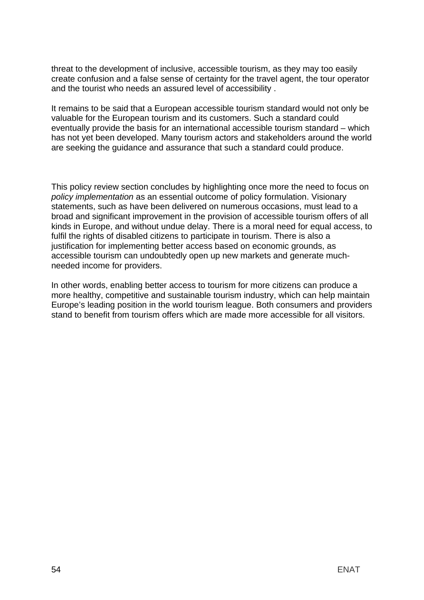threat to the development of inclusive, accessible tourism, as they may too easily create confusion and a false sense of certainty for the travel agent, the tour operator and the tourist who needs an assured level of accessibility .

It remains to be said that a European accessible tourism standard would not only be valuable for the European tourism and its customers. Such a standard could eventually provide the basis for an international accessible tourism standard – which has not yet been developed. Many tourism actors and stakeholders around the world are seeking the guidance and assurance that such a standard could produce.

This policy review section concludes by highlighting once more the need to focus on *policy implementation* as an essential outcome of policy formulation. Visionary statements, such as have been delivered on numerous occasions, must lead to a broad and significant improvement in the provision of accessible tourism offers of all kinds in Europe, and without undue delay. There is a moral need for equal access, to fulfil the rights of disabled citizens to participate in tourism. There is also a justification for implementing better access based on economic grounds, as accessible tourism can undoubtedly open up new markets and generate muchneeded income for providers.

In other words, enabling better access to tourism for more citizens can produce a more healthy, competitive and sustainable tourism industry, which can help maintain Europe's leading position in the world tourism league. Both consumers and providers stand to benefit from tourism offers which are made more accessible for all visitors.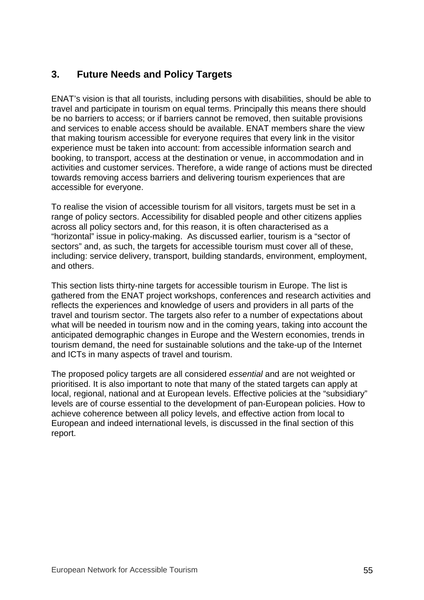# **3. Future Needs and Policy Targets**

ENAT's vision is that all tourists, including persons with disabilities, should be able to travel and participate in tourism on equal terms. Principally this means there should be no barriers to access; or if barriers cannot be removed, then suitable provisions and services to enable access should be available. ENAT members share the view that making tourism accessible for everyone requires that every link in the visitor experience must be taken into account: from accessible information search and booking, to transport, access at the destination or venue, in accommodation and in activities and customer services. Therefore, a wide range of actions must be directed towards removing access barriers and delivering tourism experiences that are accessible for everyone.

To realise the vision of accessible tourism for all visitors, targets must be set in a range of policy sectors. Accessibility for disabled people and other citizens applies across all policy sectors and, for this reason, it is often characterised as a "horizontal" issue in policy-making. As discussed earlier, tourism is a "sector of sectors" and, as such, the targets for accessible tourism must cover all of these, including: service delivery, transport, building standards, environment, employment, and others.

This section lists thirty-nine targets for accessible tourism in Europe. The list is gathered from the ENAT project workshops, conferences and research activities and reflects the experiences and knowledge of users and providers in all parts of the travel and tourism sector. The targets also refer to a number of expectations about what will be needed in tourism now and in the coming years, taking into account the anticipated demographic changes in Europe and the Western economies, trends in tourism demand, the need for sustainable solutions and the take-up of the Internet and ICTs in many aspects of travel and tourism.

The proposed policy targets are all considered *essential* and are not weighted or prioritised. It is also important to note that many of the stated targets can apply at local, regional, national and at European levels. Effective policies at the "subsidiary" levels are of course essential to the development of pan-European policies. How to achieve coherence between all policy levels, and effective action from local to European and indeed international levels, is discussed in the final section of this report.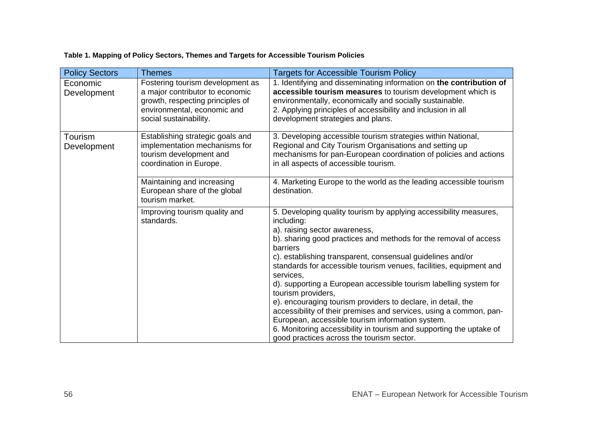| Table 1. Mapping of Policy Sectors, Themes and Targets for Accessible Tourism Policies |  |
|----------------------------------------------------------------------------------------|--|

| <b>Policy Sectors</b>   | Themes                                                                                                                                                           | <b>Targets for Accessible Tourism Policy</b>                                                                                                                                                                                                                                                                                                                                                                                                                                                                                                                                                                                                                                                                                                               |
|-------------------------|------------------------------------------------------------------------------------------------------------------------------------------------------------------|------------------------------------------------------------------------------------------------------------------------------------------------------------------------------------------------------------------------------------------------------------------------------------------------------------------------------------------------------------------------------------------------------------------------------------------------------------------------------------------------------------------------------------------------------------------------------------------------------------------------------------------------------------------------------------------------------------------------------------------------------------|
| Economic<br>Development | Fostering tourism development as<br>a major contributor to economic<br>growth, respecting principles of<br>environmental, economic and<br>social sustainability. | 1. Identifying and disseminating information on the contribution of<br>accessible tourism measures to tourism development which is<br>environmentally, economically and socially sustainable.<br>2. Applying principles of accessibility and inclusion in all<br>development strategies and plans.                                                                                                                                                                                                                                                                                                                                                                                                                                                         |
| Tourism<br>Development  | Establishing strategic goals and<br>implementation mechanisms for<br>tourism development and<br>coordination in Europe.                                          | 3. Developing accessible tourism strategies within National,<br>Regional and City Tourism Organisations and setting up<br>mechanisms for pan-European coordination of policies and actions<br>in all aspects of accessible tourism.                                                                                                                                                                                                                                                                                                                                                                                                                                                                                                                        |
|                         | Maintaining and increasing<br>European share of the global<br>tourism market.                                                                                    | 4. Marketing Europe to the world as the leading accessible tourism<br>destination.                                                                                                                                                                                                                                                                                                                                                                                                                                                                                                                                                                                                                                                                         |
|                         | Improving tourism quality and<br>standards.                                                                                                                      | 5. Developing quality tourism by applying accessibility measures,<br>including:<br>a). raising sector awareness,<br>b). sharing good practices and methods for the removal of access<br>barriers<br>c). establishing transparent, consensual guidelines and/or<br>standards for accessible tourism venues, facilities, equipment and<br>services,<br>d). supporting a European accessible tourism labelling system for<br>tourism providers,<br>e). encouraging tourism providers to declare, in detail, the<br>accessibility of their premises and services, using a common, pan-<br>European, accessible tourism information system.<br>6. Monitoring accessibility in tourism and supporting the uptake of<br>good practices across the tourism sector. |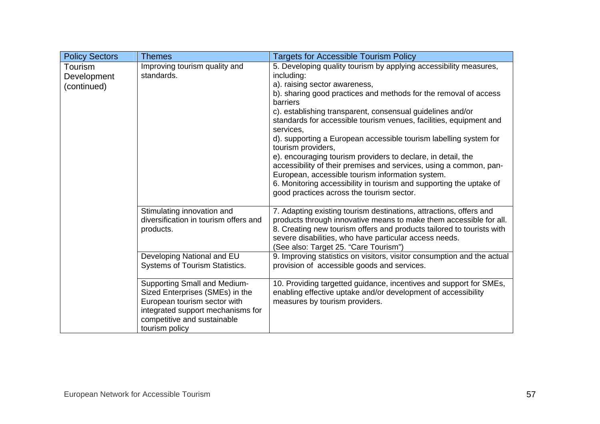| <b>Policy Sectors</b>                 | <b>Themes</b>                                                                                                                                                                                | <b>Targets for Accessible Tourism Policy</b>                                                                                                                                                                                                                                                                                                                                                                                                                                                                                                                                                                                                                                                                                                               |
|---------------------------------------|----------------------------------------------------------------------------------------------------------------------------------------------------------------------------------------------|------------------------------------------------------------------------------------------------------------------------------------------------------------------------------------------------------------------------------------------------------------------------------------------------------------------------------------------------------------------------------------------------------------------------------------------------------------------------------------------------------------------------------------------------------------------------------------------------------------------------------------------------------------------------------------------------------------------------------------------------------------|
| Tourism<br>Development<br>(continued) | Improving tourism quality and<br>standards.                                                                                                                                                  | 5. Developing quality tourism by applying accessibility measures,<br>including:<br>a). raising sector awareness,<br>b). sharing good practices and methods for the removal of access<br>barriers<br>c). establishing transparent, consensual guidelines and/or<br>standards for accessible tourism venues, facilities, equipment and<br>services,<br>d). supporting a European accessible tourism labelling system for<br>tourism providers,<br>e). encouraging tourism providers to declare, in detail, the<br>accessibility of their premises and services, using a common, pan-<br>European, accessible tourism information system.<br>6. Monitoring accessibility in tourism and supporting the uptake of<br>good practices across the tourism sector. |
|                                       | Stimulating innovation and<br>diversification in tourism offers and<br>products.                                                                                                             | 7. Adapting existing tourism destinations, attractions, offers and<br>products through innovative means to make them accessible for all.<br>8. Creating new tourism offers and products tailored to tourists with<br>severe disabilities, who have particular access needs.<br>(See also: Target 25. "Care Tourism")                                                                                                                                                                                                                                                                                                                                                                                                                                       |
|                                       | Developing National and EU<br><b>Systems of Tourism Statistics.</b>                                                                                                                          | 9. Improving statistics on visitors, visitor consumption and the actual<br>provision of accessible goods and services.                                                                                                                                                                                                                                                                                                                                                                                                                                                                                                                                                                                                                                     |
|                                       | <b>Supporting Small and Medium-</b><br>Sized Enterprises (SMEs) in the<br>European tourism sector with<br>integrated support mechanisms for<br>competitive and sustainable<br>tourism policy | 10. Providing targetted guidance, incentives and support for SMEs,<br>enabling effective uptake and/or development of accessibility<br>measures by tourism providers.                                                                                                                                                                                                                                                                                                                                                                                                                                                                                                                                                                                      |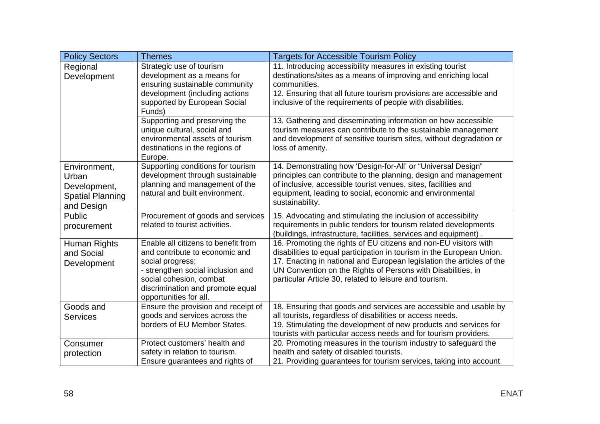| <b>Policy Sectors</b>                                                          | <b>Themes</b>                                                                                                                                                                                                           | <b>Targets for Accessible Tourism Policy</b>                                                                                                                                                                                                                                                                                                 |
|--------------------------------------------------------------------------------|-------------------------------------------------------------------------------------------------------------------------------------------------------------------------------------------------------------------------|----------------------------------------------------------------------------------------------------------------------------------------------------------------------------------------------------------------------------------------------------------------------------------------------------------------------------------------------|
| Regional<br>Development                                                        | Strategic use of tourism<br>development as a means for<br>ensuring sustainable community<br>development (including actions<br>supported by European Social<br>Funds)                                                    | 11. Introducing accessibility measures in existing tourist<br>destinations/sites as a means of improving and enriching local<br>communities.<br>12. Ensuring that all future tourism provisions are accessible and<br>inclusive of the requirements of people with disabilities.                                                             |
|                                                                                | Supporting and preserving the<br>unique cultural, social and<br>environmental assets of tourism<br>destinations in the regions of<br>Europe.                                                                            | 13. Gathering and disseminating information on how accessible<br>tourism measures can contribute to the sustainable management<br>and development of sensitive tourism sites, without degradation or<br>loss of amenity.                                                                                                                     |
| Environment,<br>Urban<br>Development,<br><b>Spatial Planning</b><br>and Design | Supporting conditions for tourism<br>development through sustainable<br>planning and management of the<br>natural and built environment.                                                                                | 14. Demonstrating how 'Design-for-All' or "Universal Design"<br>principles can contribute to the planning, design and management<br>of inclusive, accessible tourist venues, sites, facilities and<br>equipment, leading to social, economic and environmental<br>sustainability.                                                            |
| Public<br>procurement                                                          | Procurement of goods and services<br>related to tourist activities.                                                                                                                                                     | 15. Advocating and stimulating the inclusion of accessibility<br>requirements in public tenders for tourism related developments<br>(buildings, infrastructure, facilities, services and equipment).                                                                                                                                         |
| Human Rights<br>and Social<br>Development                                      | Enable all citizens to benefit from<br>and contribute to economic and<br>social progress;<br>- strengthen social inclusion and<br>social cohesion, combat<br>discrimination and promote equal<br>opportunities for all. | 16. Promoting the rights of EU citizens and non-EU visitors with<br>disabilities to equal participation in tourism in the European Union.<br>17. Enacting in national and European legislation the articles of the<br>UN Convention on the Rights of Persons with Disabilities, in<br>particular Article 30, related to leisure and tourism. |
| Goods and<br><b>Services</b>                                                   | Ensure the provision and receipt of<br>goods and services across the<br>borders of EU Member States.                                                                                                                    | 18. Ensuring that goods and services are accessible and usable by<br>all tourists, regardless of disabilities or access needs.<br>19. Stimulating the development of new products and services for<br>tourists with particular access needs and for tourism providers.                                                                       |
| Consumer<br>protection                                                         | Protect customers' health and<br>safety in relation to tourism.<br>Ensure guarantees and rights of                                                                                                                      | 20. Promoting measures in the tourism industry to safeguard the<br>health and safety of disabled tourists.<br>21. Providing guarantees for tourism services, taking into account                                                                                                                                                             |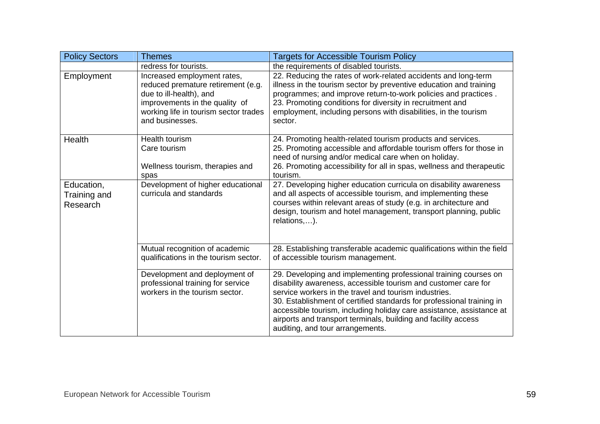| <b>Policy Sectors</b>                  | <b>Themes</b>                                                                                                                                                                              | <b>Targets for Accessible Tourism Policy</b>                                                                                                                                                                                                                                                                                                                                                                                                       |
|----------------------------------------|--------------------------------------------------------------------------------------------------------------------------------------------------------------------------------------------|----------------------------------------------------------------------------------------------------------------------------------------------------------------------------------------------------------------------------------------------------------------------------------------------------------------------------------------------------------------------------------------------------------------------------------------------------|
|                                        | redress for tourists.                                                                                                                                                                      | the requirements of disabled tourists.                                                                                                                                                                                                                                                                                                                                                                                                             |
| Employment                             | Increased employment rates,<br>reduced premature retirement (e.g.<br>due to ill-health), and<br>improvements in the quality of<br>working life in tourism sector trades<br>and businesses. | 22. Reducing the rates of work-related accidents and long-term<br>illness in the tourism sector by preventive education and training<br>programmes; and improve return-to-work policies and practices.<br>23. Promoting conditions for diversity in recruitment and<br>employment, including persons with disabilities, in the tourism<br>sector.                                                                                                  |
| Health                                 | Health tourism<br>Care tourism<br>Wellness tourism, therapies and<br>spas                                                                                                                  | 24. Promoting health-related tourism products and services.<br>25. Promoting accessible and affordable tourism offers for those in<br>need of nursing and/or medical care when on holiday.<br>26. Promoting accessibility for all in spas, wellness and therapeutic<br>tourism.                                                                                                                                                                    |
| Education,<br>Training and<br>Research | Development of higher educational<br>curricula and standards                                                                                                                               | 27. Developing higher education curricula on disability awareness<br>and all aspects of accessible tourism, and implementing these<br>courses within relevant areas of study (e.g. in architecture and<br>design, tourism and hotel management, transport planning, public<br>relations,).                                                                                                                                                         |
|                                        | Mutual recognition of academic<br>qualifications in the tourism sector.                                                                                                                    | 28. Establishing transferable academic qualifications within the field<br>of accessible tourism management.                                                                                                                                                                                                                                                                                                                                        |
|                                        | Development and deployment of<br>professional training for service<br>workers in the tourism sector.                                                                                       | 29. Developing and implementing professional training courses on<br>disability awareness, accessible tourism and customer care for<br>service workers in the travel and tourism industries.<br>30. Establishment of certified standards for professional training in<br>accessible tourism, including holiday care assistance, assistance at<br>airports and transport terminals, building and facility access<br>auditing, and tour arrangements. |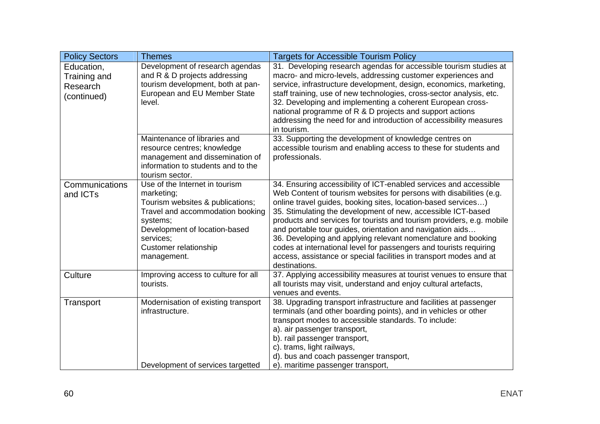| <b>Policy Sectors</b>                                 | <b>Themes</b>                                                                                                                                                                                                                 | <b>Targets for Accessible Tourism Policy</b>                                                                                                                                                                                                                                                                                                                                                                                                                                                                                                                                                                                                  |
|-------------------------------------------------------|-------------------------------------------------------------------------------------------------------------------------------------------------------------------------------------------------------------------------------|-----------------------------------------------------------------------------------------------------------------------------------------------------------------------------------------------------------------------------------------------------------------------------------------------------------------------------------------------------------------------------------------------------------------------------------------------------------------------------------------------------------------------------------------------------------------------------------------------------------------------------------------------|
| Education,<br>Training and<br>Research<br>(continued) | Development of research agendas<br>and R & D projects addressing<br>tourism development, both at pan-<br>European and EU Member State<br>level.                                                                               | 31. Developing research agendas for accessible tourism studies at<br>macro- and micro-levels, addressing customer experiences and<br>service, infrastructure development, design, economics, marketing,<br>staff training, use of new technologies, cross-sector analysis, etc.<br>32. Developing and implementing a coherent European cross-<br>national programme of R & D projects and support actions<br>addressing the need for and introduction of accessibility measures<br>in tourism.                                                                                                                                                |
|                                                       | Maintenance of libraries and<br>resource centres; knowledge<br>management and dissemination of<br>information to students and to the<br>tourism sector.                                                                       | 33. Supporting the development of knowledge centres on<br>accessible tourism and enabling access to these for students and<br>professionals.                                                                                                                                                                                                                                                                                                                                                                                                                                                                                                  |
| Communications<br>and ICTs                            | Use of the Internet in tourism<br>marketing;<br>Tourism websites & publications;<br>Travel and accommodation booking<br>systems;<br>Development of location-based<br>services;<br><b>Customer relationship</b><br>management. | 34. Ensuring accessibility of ICT-enabled services and accessible<br>Web Content of tourism websites for persons with disabilities (e.g.<br>online travel guides, booking sites, location-based services)<br>35. Stimulating the development of new, accessible ICT-based<br>products and services for tourists and tourism providers, e.g. mobile<br>and portable tour guides, orientation and navigation aids<br>36. Developing and applying relevant nomenclature and booking<br>codes at international level for passengers and tourists requiring<br>access, assistance or special facilities in transport modes and at<br>destinations. |
| Culture                                               | Improving access to culture for all<br>tourists.                                                                                                                                                                              | 37. Applying accessibility measures at tourist venues to ensure that<br>all tourists may visit, understand and enjoy cultural artefacts,<br>venues and events.                                                                                                                                                                                                                                                                                                                                                                                                                                                                                |
| Transport                                             | Modernisation of existing transport<br>infrastructure.                                                                                                                                                                        | 38. Upgrading transport infrastructure and facilities at passenger<br>terminals (and other boarding points), and in vehicles or other<br>transport modes to accessible standards. To include:<br>a). air passenger transport,<br>b). rail passenger transport,<br>c). trams, light railways,<br>d). bus and coach passenger transport,                                                                                                                                                                                                                                                                                                        |
|                                                       | Development of services targetted                                                                                                                                                                                             | e). maritime passenger transport,                                                                                                                                                                                                                                                                                                                                                                                                                                                                                                                                                                                                             |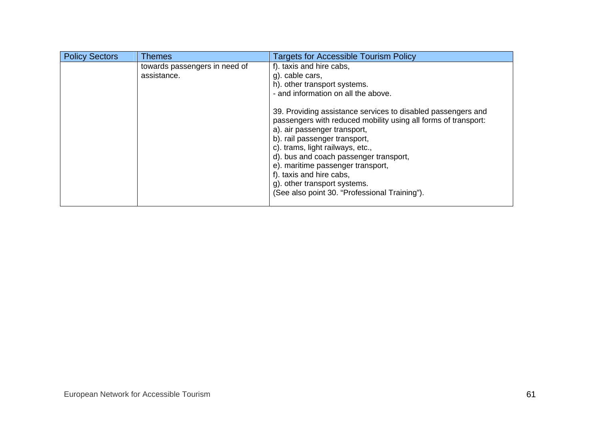| <b>Policy Sectors</b> | Themes                                       | <b>Targets for Accessible Tourism Policy</b>                                                                                                                                                                                                                                                                                                                                                                                                                                                                                                          |
|-----------------------|----------------------------------------------|-------------------------------------------------------------------------------------------------------------------------------------------------------------------------------------------------------------------------------------------------------------------------------------------------------------------------------------------------------------------------------------------------------------------------------------------------------------------------------------------------------------------------------------------------------|
|                       | towards passengers in need of<br>assistance. | f). taxis and hire cabs,<br>g). cable cars,<br>h). other transport systems.<br>- and information on all the above.<br>39. Providing assistance services to disabled passengers and<br>passengers with reduced mobility using all forms of transport:<br>a). air passenger transport,<br>b). rail passenger transport,<br>c). trams, light railways, etc.,<br>d). bus and coach passenger transport,<br>e). maritime passenger transport,<br>f). taxis and hire cabs,<br>g). other transport systems.<br>(See also point 30. "Professional Training"). |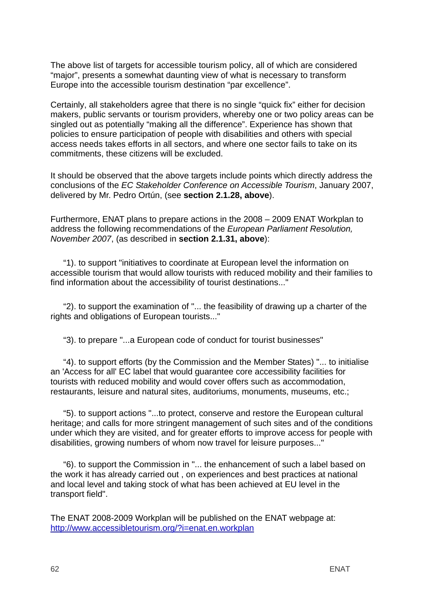The above list of targets for accessible tourism policy, all of which are considered "major", presents a somewhat daunting view of what is necessary to transform Europe into the accessible tourism destination "par excellence".

Certainly, all stakeholders agree that there is no single "quick fix" either for decision makers, public servants or tourism providers, whereby one or two policy areas can be singled out as potentially "making all the difference". Experience has shown that policies to ensure participation of people with disabilities and others with special access needs takes efforts in all sectors, and where one sector fails to take on its commitments, these citizens will be excluded.

It should be observed that the above targets include points which directly address the conclusions of the *EC Stakeholder Conference on Accessible Tourism*, January 2007, delivered by Mr. Pedro Ortún, (see **section 2.1.28, above**).

Furthermore, ENAT plans to prepare actions in the 2008 – 2009 ENAT Workplan to address the following recommendations of the *European Parliament Resolution, November 2007*, (as described in **section 2.1.31, above**):

"1). to support "initiatives to coordinate at European level the information on accessible tourism that would allow tourists with reduced mobility and their families to find information about the accessibility of tourist destinations..."

"2). to support the examination of "... the feasibility of drawing up a charter of the rights and obligations of European tourists..."

"3). to prepare "...a European code of conduct for tourist businesses"

"4). to support efforts (by the Commission and the Member States) "... to initialise an 'Access for all' EC label that would guarantee core accessibility facilities for tourists with reduced mobility and would cover offers such as accommodation, restaurants, leisure and natural sites, auditoriums, monuments, museums, etc.;

"5). to support actions "...to protect, conserve and restore the European cultural heritage; and calls for more stringent management of such sites and of the conditions under which they are visited, and for greater efforts to improve access for people with disabilities, growing numbers of whom now travel for leisure purposes..."

"6). to support the Commission in "... the enhancement of such a label based on the work it has already carried out , on experiences and best practices at national and local level and taking stock of what has been achieved at EU level in the transport field".

The ENAT 2008-2009 Workplan will be published on the ENAT webpage at: http://www.accessibletourism.org/?i=enat.en.workplan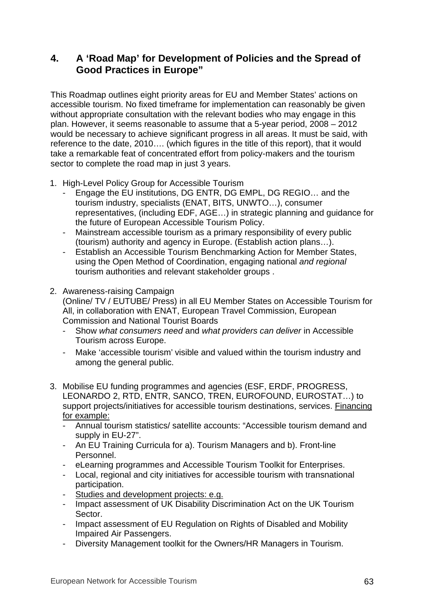## **4. A 'Road Map' for Development of Policies and the Spread of Good Practices in Europe"**

This Roadmap outlines eight priority areas for EU and Member States' actions on accessible tourism. No fixed timeframe for implementation can reasonably be given without appropriate consultation with the relevant bodies who may engage in this plan. However, it seems reasonable to assume that a 5-year period, 2008 – 2012 would be necessary to achieve significant progress in all areas. It must be said, with reference to the date, 2010…. (which figures in the title of this report), that it would take a remarkable feat of concentrated effort from policy-makers and the tourism sector to complete the road map in just 3 years.

- 1. High-Level Policy Group for Accessible Tourism
	- Engage the EU institutions, DG ENTR, DG EMPL, DG REGIO… and the tourism industry, specialists (ENAT, BITS, UNWTO…), consumer representatives, (including EDF, AGE…) in strategic planning and guidance for the future of European Accessible Tourism Policy.
	- Mainstream accessible tourism as a primary responsibility of every public (tourism) authority and agency in Europe. (Establish action plans…).
	- Establish an Accessible Tourism Benchmarking Action for Member States, using the Open Method of Coordination, engaging national *and regional* tourism authorities and relevant stakeholder groups .

#### 2. Awareness-raising Campaign

- (Online/ TV / EUTUBE/ Press) in all EU Member States on Accessible Tourism for All, in collaboration with ENAT, European Travel Commission, European Commission and National Tourist Boards
- Show *what consumers need* and *what providers can deliver* in Accessible Tourism across Europe.
- Make 'accessible tourism' visible and valued within the tourism industry and among the general public.
- 3. Mobilise EU funding programmes and agencies (ESF, ERDF, PROGRESS, LEONARDO 2, RTD, ENTR, SANCO, TREN, EUROFOUND, EUROSTAT…) to support projects/initiatives for accessible tourism destinations, services. Financing for example:
	- Annual tourism statistics/ satellite accounts: "Accessible tourism demand and supply in EU-27".
	- An EU Training Curricula for a). Tourism Managers and b). Front-line Personnel.
	- eLearning programmes and Accessible Tourism Toolkit for Enterprises.
	- Local, regional and city initiatives for accessible tourism with transnational participation.
	- Studies and development projects: e.g.
	- Impact assessment of UK Disability Discrimination Act on the UK Tourism Sector.
	- Impact assessment of EU Regulation on Rights of Disabled and Mobility Impaired Air Passengers.
	- Diversity Management toolkit for the Owners/HR Managers in Tourism.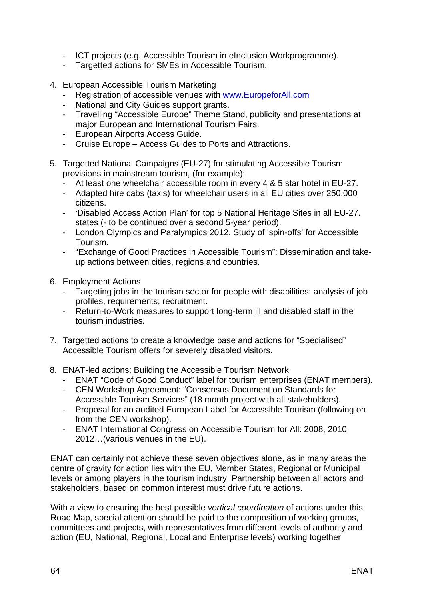- ICT projects (e.g. Accessible Tourism in eInclusion Workprogramme).
- Targetted actions for SMEs in Accessible Tourism.
- 4. European Accessible Tourism Marketing
	- Registration of accessible venues with www.EuropeforAll.com
	- National and City Guides support grants.
	- Travelling "Accessible Europe" Theme Stand, publicity and presentations at major European and International Tourism Fairs.
	- European Airports Access Guide.
	- Cruise Europe Access Guides to Ports and Attractions.
- 5. Targetted National Campaigns (EU-27) for stimulating Accessible Tourism provisions in mainstream tourism, (for example):
	- At least one wheelchair accessible room in every 4 & 5 star hotel in EU-27.
	- Adapted hire cabs (taxis) for wheelchair users in all EU cities over 250,000 citizens.
	- 'Disabled Access Action Plan' for top 5 National Heritage Sites in all EU-27. states (- to be continued over a second 5-year period).
	- London Olympics and Paralympics 2012. Study of 'spin-offs' for Accessible Tourism.
	- "Exchange of Good Practices in Accessible Tourism": Dissemination and takeup actions between cities, regions and countries.
- 6. Employment Actions
	- Targeting jobs in the tourism sector for people with disabilities: analysis of job profiles, requirements, recruitment.
	- Return-to-Work measures to support long-term ill and disabled staff in the tourism industries.
- 7. Targetted actions to create a knowledge base and actions for "Specialised" Accessible Tourism offers for severely disabled visitors.
- 8. ENAT-led actions: Building the Accessible Tourism Network.
	- ENAT "Code of Good Conduct" label for tourism enterprises (ENAT members).
	- CEN Workshop Agreement: "Consensus Document on Standards for Accessible Tourism Services" (18 month project with all stakeholders).
	- Proposal for an audited European Label for Accessible Tourism (following on from the CEN workshop).
	- ENAT International Congress on Accessible Tourism for All: 2008, 2010, 2012…(various venues in the EU).

ENAT can certainly not achieve these seven objectives alone, as in many areas the centre of gravity for action lies with the EU, Member States, Regional or Municipal levels or among players in the tourism industry. Partnership between all actors and stakeholders, based on common interest must drive future actions.

With a view to ensuring the best possible *vertical coordination* of actions under this Road Map, special attention should be paid to the composition of working groups, committees and projects, with representatives from different levels of authority and action (EU, National, Regional, Local and Enterprise levels) working together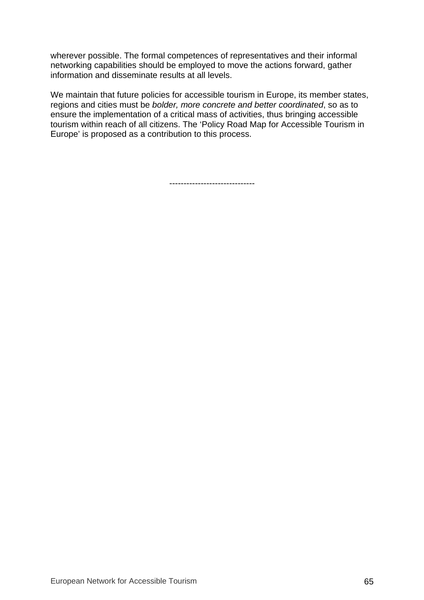wherever possible. The formal competences of representatives and their informal networking capabilities should be employed to move the actions forward, gather information and disseminate results at all levels.

We maintain that future policies for accessible tourism in Europe, its member states, regions and cities must be *bolder, more concrete and better coordinated*, so as to ensure the implementation of a critical mass of activities, thus bringing accessible tourism within reach of all citizens. The 'Policy Road Map for Accessible Tourism in Europe' is proposed as a contribution to this process.

------------------------------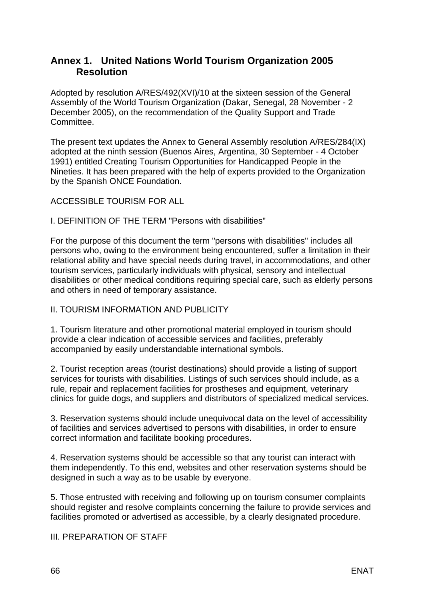## **Annex 1. United Nations World Tourism Organization 2005 Resolution**

Adopted by resolution A/RES/492(XVI)/10 at the sixteen session of the General Assembly of the World Tourism Organization (Dakar, Senegal, 28 November - 2 December 2005), on the recommendation of the Quality Support and Trade **Committee.** 

The present text updates the Annex to General Assembly resolution A/RES/284(IX) adopted at the ninth session (Buenos Aires, Argentina, 30 September - 4 October 1991) entitled Creating Tourism Opportunities for Handicapped People in the Nineties. It has been prepared with the help of experts provided to the Organization by the Spanish ONCE Foundation.

#### ACCESSIBLE TOURISM FOR ALL

I. DEFINITION OF THE TERM "Persons with disabilities"

For the purpose of this document the term "persons with disabilities" includes all persons who, owing to the environment being encountered, suffer a limitation in their relational ability and have special needs during travel, in accommodations, and other tourism services, particularly individuals with physical, sensory and intellectual disabilities or other medical conditions requiring special care, such as elderly persons and others in need of temporary assistance.

#### II. TOURISM INFORMATION AND PUBLICITY

1. Tourism literature and other promotional material employed in tourism should provide a clear indication of accessible services and facilities, preferably accompanied by easily understandable international symbols.

2. Tourist reception areas (tourist destinations) should provide a listing of support services for tourists with disabilities. Listings of such services should include, as a rule, repair and replacement facilities for prostheses and equipment, veterinary clinics for guide dogs, and suppliers and distributors of specialized medical services.

3. Reservation systems should include unequivocal data on the level of accessibility of facilities and services advertised to persons with disabilities, in order to ensure correct information and facilitate booking procedures.

4. Reservation systems should be accessible so that any tourist can interact with them independently. To this end, websites and other reservation systems should be designed in such a way as to be usable by everyone.

5. Those entrusted with receiving and following up on tourism consumer complaints should register and resolve complaints concerning the failure to provide services and facilities promoted or advertised as accessible, by a clearly designated procedure.

#### III. PREPARATION OF STAFF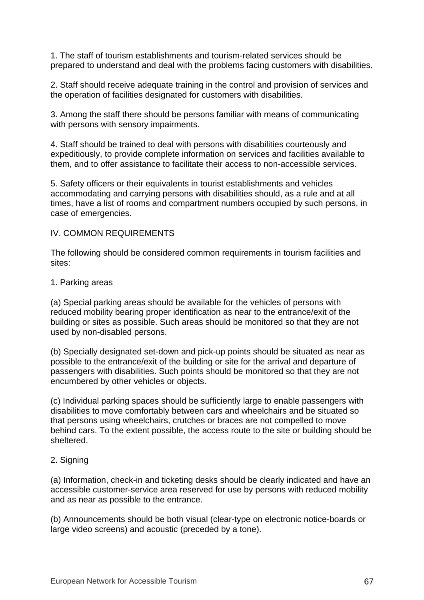1. The staff of tourism establishments and tourism-related services should be prepared to understand and deal with the problems facing customers with disabilities.

2. Staff should receive adequate training in the control and provision of services and the operation of facilities designated for customers with disabilities.

3. Among the staff there should be persons familiar with means of communicating with persons with sensory impairments.

4. Staff should be trained to deal with persons with disabilities courteously and expeditiously, to provide complete information on services and facilities available to them, and to offer assistance to facilitate their access to non-accessible services.

5. Safety officers or their equivalents in tourist establishments and vehicles accommodating and carrying persons with disabilities should, as a rule and at all times, have a list of rooms and compartment numbers occupied by such persons, in case of emergencies.

#### IV. COMMON REQUIREMENTS

The following should be considered common requirements in tourism facilities and sites:

#### 1. Parking areas

(a) Special parking areas should be available for the vehicles of persons with reduced mobility bearing proper identification as near to the entrance/exit of the building or sites as possible. Such areas should be monitored so that they are not used by non-disabled persons.

(b) Specially designated set-down and pick-up points should be situated as near as possible to the entrance/exit of the building or site for the arrival and departure of passengers with disabilities. Such points should be monitored so that they are not encumbered by other vehicles or objects.

(c) Individual parking spaces should be sufficiently large to enable passengers with disabilities to move comfortably between cars and wheelchairs and be situated so that persons using wheelchairs, crutches or braces are not compelled to move behind cars. To the extent possible, the access route to the site or building should be sheltered.

#### 2. Signing

(a) Information, check-in and ticketing desks should be clearly indicated and have an accessible customer-service area reserved for use by persons with reduced mobility and as near as possible to the entrance.

(b) Announcements should be both visual (clear-type on electronic notice-boards or large video screens) and acoustic (preceded by a tone).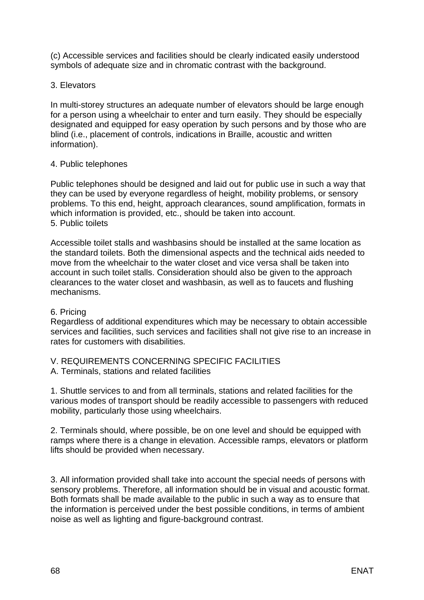(c) Accessible services and facilities should be clearly indicated easily understood symbols of adequate size and in chromatic contrast with the background.

#### 3. Elevators

In multi-storey structures an adequate number of elevators should be large enough for a person using a wheelchair to enter and turn easily. They should be especially designated and equipped for easy operation by such persons and by those who are blind (i.e., placement of controls, indications in Braille, acoustic and written information).

#### 4. Public telephones

Public telephones should be designed and laid out for public use in such a way that they can be used by everyone regardless of height, mobility problems, or sensory problems. To this end, height, approach clearances, sound amplification, formats in which information is provided, etc., should be taken into account. 5. Public toilets

Accessible toilet stalls and washbasins should be installed at the same location as the standard toilets. Both the dimensional aspects and the technical aids needed to move from the wheelchair to the water closet and vice versa shall be taken into account in such toilet stalls. Consideration should also be given to the approach clearances to the water closet and washbasin, as well as to faucets and flushing mechanisms.

#### 6. Pricing

Regardless of additional expenditures which may be necessary to obtain accessible services and facilities, such services and facilities shall not give rise to an increase in rates for customers with disabilities.

V. REQUIREMENTS CONCERNING SPECIFIC FACILITIES A. Terminals, stations and related facilities

1. Shuttle services to and from all terminals, stations and related facilities for the various modes of transport should be readily accessible to passengers with reduced mobility, particularly those using wheelchairs.

2. Terminals should, where possible, be on one level and should be equipped with ramps where there is a change in elevation. Accessible ramps, elevators or platform lifts should be provided when necessary.

3. All information provided shall take into account the special needs of persons with sensory problems. Therefore, all information should be in visual and acoustic format. Both formats shall be made available to the public in such a way as to ensure that the information is perceived under the best possible conditions, in terms of ambient noise as well as lighting and figure-background contrast.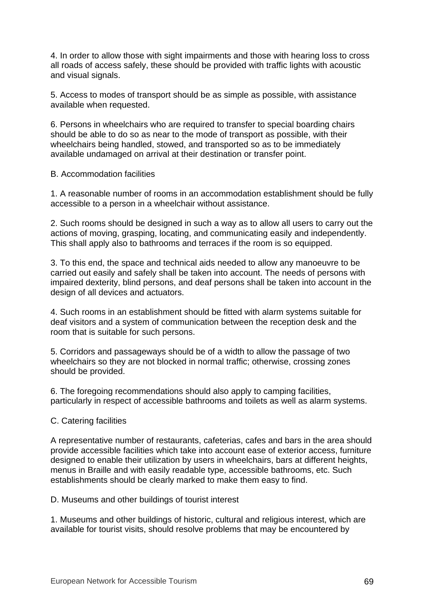4. In order to allow those with sight impairments and those with hearing loss to cross all roads of access safely, these should be provided with traffic lights with acoustic and visual signals.

5. Access to modes of transport should be as simple as possible, with assistance available when requested.

6. Persons in wheelchairs who are required to transfer to special boarding chairs should be able to do so as near to the mode of transport as possible, with their wheelchairs being handled, stowed, and transported so as to be immediately available undamaged on arrival at their destination or transfer point.

#### B. Accommodation facilities

1. A reasonable number of rooms in an accommodation establishment should be fully accessible to a person in a wheelchair without assistance.

2. Such rooms should be designed in such a way as to allow all users to carry out the actions of moving, grasping, locating, and communicating easily and independently. This shall apply also to bathrooms and terraces if the room is so equipped.

3. To this end, the space and technical aids needed to allow any manoeuvre to be carried out easily and safely shall be taken into account. The needs of persons with impaired dexterity, blind persons, and deaf persons shall be taken into account in the design of all devices and actuators.

4. Such rooms in an establishment should be fitted with alarm systems suitable for deaf visitors and a system of communication between the reception desk and the room that is suitable for such persons.

5. Corridors and passageways should be of a width to allow the passage of two wheelchairs so they are not blocked in normal traffic; otherwise, crossing zones should be provided.

6. The foregoing recommendations should also apply to camping facilities, particularly in respect of accessible bathrooms and toilets as well as alarm systems.

#### C. Catering facilities

A representative number of restaurants, cafeterias, cafes and bars in the area should provide accessible facilities which take into account ease of exterior access, furniture designed to enable their utilization by users in wheelchairs, bars at different heights, menus in Braille and with easily readable type, accessible bathrooms, etc. Such establishments should be clearly marked to make them easy to find.

D. Museums and other buildings of tourist interest

1. Museums and other buildings of historic, cultural and religious interest, which are available for tourist visits, should resolve problems that may be encountered by